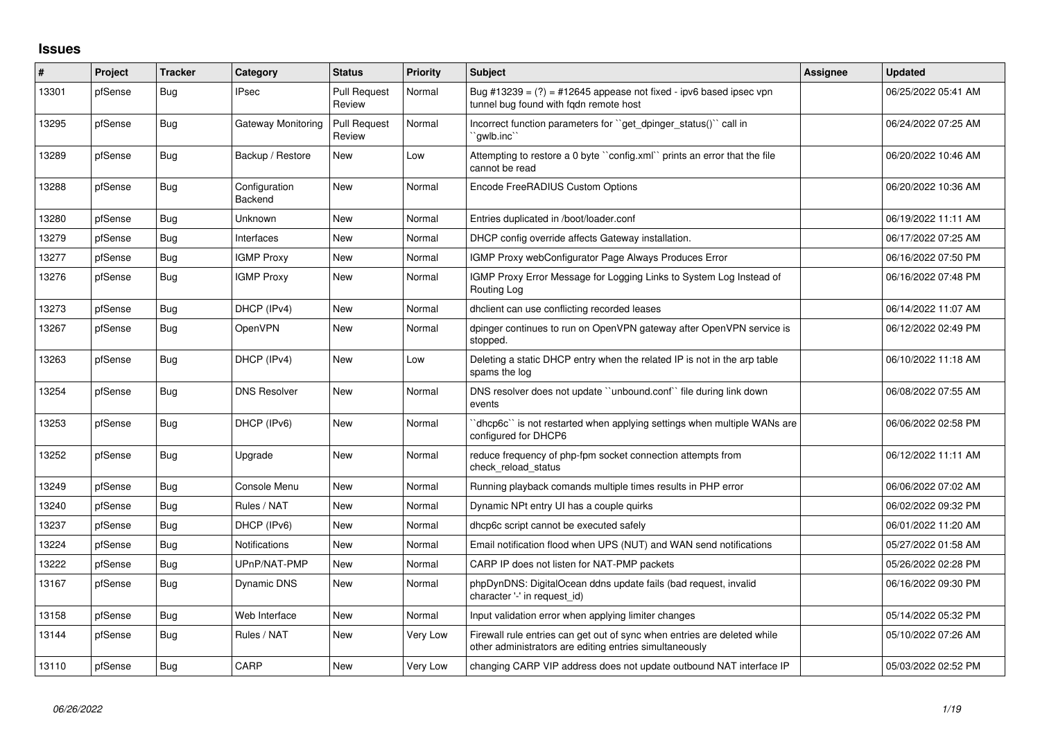## **Issues**

| #     | Project | <b>Tracker</b> | Category                 | <b>Status</b>                 | <b>Priority</b> | <b>Subject</b>                                                                                                                      | Assignee | <b>Updated</b>      |
|-------|---------|----------------|--------------------------|-------------------------------|-----------------|-------------------------------------------------------------------------------------------------------------------------------------|----------|---------------------|
| 13301 | pfSense | Bug            | <b>IPsec</b>             | <b>Pull Request</b><br>Review | Normal          | Bug #13239 = $(?)$ = #12645 appease not fixed - ipv6 based ipsec vpn<br>tunnel bug found with fgdn remote host                      |          | 06/25/2022 05:41 AM |
| 13295 | pfSense | Bug            | Gateway Monitoring       | <b>Pull Request</b><br>Review | Normal          | Incorrect function parameters for "get_dpinger_status()" call in<br>`gwlb.inc`                                                      |          | 06/24/2022 07:25 AM |
| 13289 | pfSense | Bug            | Backup / Restore         | <b>New</b>                    | Low             | Attempting to restore a 0 byte "config.xml" prints an error that the file<br>cannot be read                                         |          | 06/20/2022 10:46 AM |
| 13288 | pfSense | Bug            | Configuration<br>Backend | <b>New</b>                    | Normal          | Encode FreeRADIUS Custom Options                                                                                                    |          | 06/20/2022 10:36 AM |
| 13280 | pfSense | <b>Bug</b>     | Unknown                  | New                           | Normal          | Entries duplicated in /boot/loader.conf                                                                                             |          | 06/19/2022 11:11 AM |
| 13279 | pfSense | Bug            | Interfaces               | <b>New</b>                    | Normal          | DHCP config override affects Gateway installation.                                                                                  |          | 06/17/2022 07:25 AM |
| 13277 | pfSense | Bug            | <b>IGMP Proxy</b>        | New                           | Normal          | IGMP Proxy webConfigurator Page Always Produces Error                                                                               |          | 06/16/2022 07:50 PM |
| 13276 | pfSense | Bug            | <b>IGMP Proxy</b>        | New                           | Normal          | IGMP Proxy Error Message for Logging Links to System Log Instead of<br>Routing Log                                                  |          | 06/16/2022 07:48 PM |
| 13273 | pfSense | Bug            | DHCP (IPv4)              | New                           | Normal          | dhclient can use conflicting recorded leases                                                                                        |          | 06/14/2022 11:07 AM |
| 13267 | pfSense | <b>Bug</b>     | OpenVPN                  | New                           | Normal          | dpinger continues to run on OpenVPN gateway after OpenVPN service is<br>stopped.                                                    |          | 06/12/2022 02:49 PM |
| 13263 | pfSense | <b>Bug</b>     | DHCP (IPv4)              | New                           | Low             | Deleting a static DHCP entry when the related IP is not in the arp table<br>spams the log                                           |          | 06/10/2022 11:18 AM |
| 13254 | pfSense | Bug            | <b>DNS Resolver</b>      | <b>New</b>                    | Normal          | DNS resolver does not update "unbound.conf" file during link down<br>events                                                         |          | 06/08/2022 07:55 AM |
| 13253 | pfSense | <b>Bug</b>     | DHCP (IPv6)              | New                           | Normal          | 'dhcp6c'` is not restarted when applying settings when multiple WANs are<br>configured for DHCP6                                    |          | 06/06/2022 02:58 PM |
| 13252 | pfSense | Bug            | Upgrade                  | <b>New</b>                    | Normal          | reduce frequency of php-fpm socket connection attempts from<br>check reload status                                                  |          | 06/12/2022 11:11 AM |
| 13249 | pfSense | Bug            | Console Menu             | <b>New</b>                    | Normal          | Running playback comands multiple times results in PHP error                                                                        |          | 06/06/2022 07:02 AM |
| 13240 | pfSense | Bug            | Rules / NAT              | <b>New</b>                    | Normal          | Dynamic NPt entry UI has a couple quirks                                                                                            |          | 06/02/2022 09:32 PM |
| 13237 | pfSense | <b>Bug</b>     | DHCP (IPv6)              | <b>New</b>                    | Normal          | dhcp6c script cannot be executed safely                                                                                             |          | 06/01/2022 11:20 AM |
| 13224 | pfSense | <b>Bug</b>     | Notifications            | New                           | Normal          | Email notification flood when UPS (NUT) and WAN send notifications                                                                  |          | 05/27/2022 01:58 AM |
| 13222 | pfSense | Bug            | UPnP/NAT-PMP             | New                           | Normal          | CARP IP does not listen for NAT-PMP packets                                                                                         |          | 05/26/2022 02:28 PM |
| 13167 | pfSense | <b>Bug</b>     | Dynamic DNS              | New                           | Normal          | phpDynDNS: DigitalOcean ddns update fails (bad request, invalid<br>character '-' in request id)                                     |          | 06/16/2022 09:30 PM |
| 13158 | pfSense | Bug            | Web Interface            | <b>New</b>                    | Normal          | Input validation error when applying limiter changes                                                                                |          | 05/14/2022 05:32 PM |
| 13144 | pfSense | Bug            | Rules / NAT              | New                           | Very Low        | Firewall rule entries can get out of sync when entries are deleted while<br>other administrators are editing entries simultaneously |          | 05/10/2022 07:26 AM |
| 13110 | pfSense | Bug            | CARP                     | <b>New</b>                    | Very Low        | changing CARP VIP address does not update outbound NAT interface IP                                                                 |          | 05/03/2022 02:52 PM |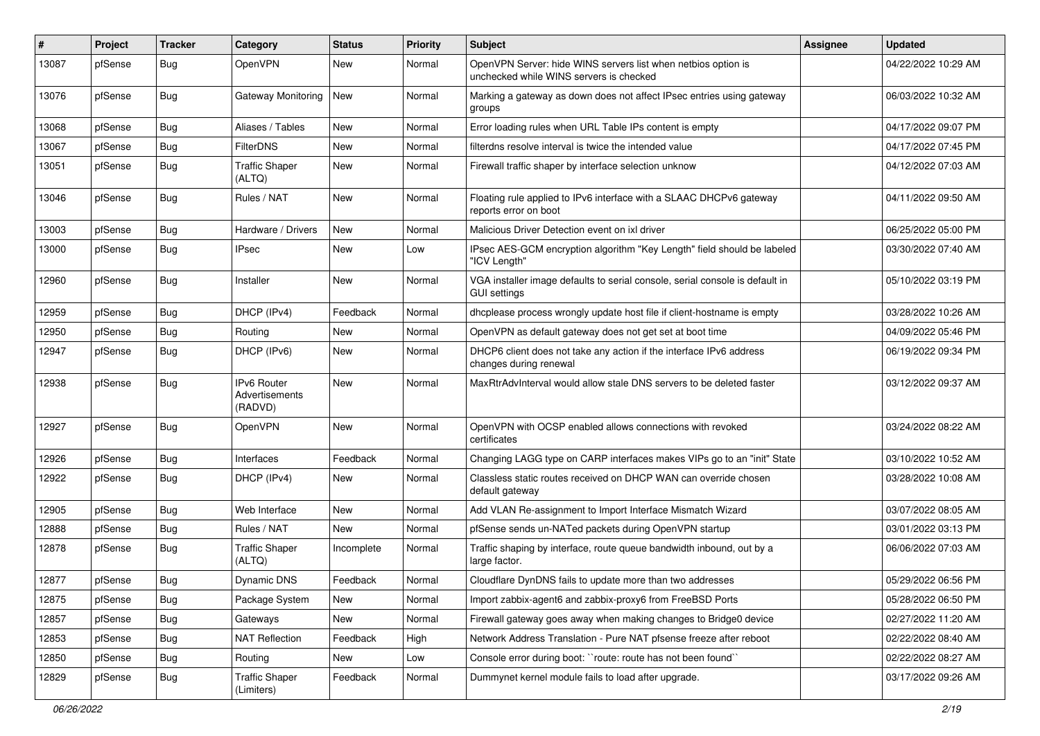| #     | Project | <b>Tracker</b> | Category                                 | <b>Status</b> | <b>Priority</b> | Subject                                                                                                  | Assignee | <b>Updated</b>      |
|-------|---------|----------------|------------------------------------------|---------------|-----------------|----------------------------------------------------------------------------------------------------------|----------|---------------------|
| 13087 | pfSense | <b>Bug</b>     | OpenVPN                                  | New           | Normal          | OpenVPN Server: hide WINS servers list when netbios option is<br>unchecked while WINS servers is checked |          | 04/22/2022 10:29 AM |
| 13076 | pfSense | <b>Bug</b>     | Gateway Monitoring                       | <b>New</b>    | Normal          | Marking a gateway as down does not affect IPsec entries using gateway<br>groups                          |          | 06/03/2022 10:32 AM |
| 13068 | pfSense | Bug            | Aliases / Tables                         | <b>New</b>    | Normal          | Error loading rules when URL Table IPs content is empty                                                  |          | 04/17/2022 09:07 PM |
| 13067 | pfSense | Bug            | <b>FilterDNS</b>                         | New           | Normal          | filterdns resolve interval is twice the intended value                                                   |          | 04/17/2022 07:45 PM |
| 13051 | pfSense | <b>Bug</b>     | <b>Traffic Shaper</b><br>(ALTQ)          | New           | Normal          | Firewall traffic shaper by interface selection unknow                                                    |          | 04/12/2022 07:03 AM |
| 13046 | pfSense | Bug            | Rules / NAT                              | <b>New</b>    | Normal          | Floating rule applied to IPv6 interface with a SLAAC DHCPv6 gateway<br>reports error on boot             |          | 04/11/2022 09:50 AM |
| 13003 | pfSense | Bug            | Hardware / Drivers                       | <b>New</b>    | Normal          | Malicious Driver Detection event on ixl driver                                                           |          | 06/25/2022 05:00 PM |
| 13000 | pfSense | <b>Bug</b>     | <b>IPsec</b>                             | New           | Low             | IPsec AES-GCM encryption algorithm "Key Length" field should be labeled<br>"ICV Length"                  |          | 03/30/2022 07:40 AM |
| 12960 | pfSense | Bug            | Installer                                | New           | Normal          | VGA installer image defaults to serial console, serial console is default in<br><b>GUI settings</b>      |          | 05/10/2022 03:19 PM |
| 12959 | pfSense | Bug            | DHCP (IPv4)                              | Feedback      | Normal          | dhcplease process wrongly update host file if client-hostname is empty                                   |          | 03/28/2022 10:26 AM |
| 12950 | pfSense | Bug            | Routing                                  | <b>New</b>    | Normal          | OpenVPN as default gateway does not get set at boot time                                                 |          | 04/09/2022 05:46 PM |
| 12947 | pfSense | <b>Bug</b>     | DHCP (IPv6)                              | New           | Normal          | DHCP6 client does not take any action if the interface IPv6 address<br>changes during renewal            |          | 06/19/2022 09:34 PM |
| 12938 | pfSense | <b>Bug</b>     | IPv6 Router<br>Advertisements<br>(RADVD) | New           | Normal          | MaxRtrAdvInterval would allow stale DNS servers to be deleted faster                                     |          | 03/12/2022 09:37 AM |
| 12927 | pfSense | <b>Bug</b>     | OpenVPN                                  | New           | Normal          | OpenVPN with OCSP enabled allows connections with revoked<br>certificates                                |          | 03/24/2022 08:22 AM |
| 12926 | pfSense | Bug            | Interfaces                               | Feedback      | Normal          | Changing LAGG type on CARP interfaces makes VIPs go to an "init" State                                   |          | 03/10/2022 10:52 AM |
| 12922 | pfSense | Bug            | DHCP (IPv4)                              | New           | Normal          | Classless static routes received on DHCP WAN can override chosen<br>default gateway                      |          | 03/28/2022 10:08 AM |
| 12905 | pfSense | Bug            | Web Interface                            | <b>New</b>    | Normal          | Add VLAN Re-assignment to Import Interface Mismatch Wizard                                               |          | 03/07/2022 08:05 AM |
| 12888 | pfSense | Bug            | Rules / NAT                              | New           | Normal          | pfSense sends un-NATed packets during OpenVPN startup                                                    |          | 03/01/2022 03:13 PM |
| 12878 | pfSense | Bug            | <b>Traffic Shaper</b><br>(ALTQ)          | Incomplete    | Normal          | Traffic shaping by interface, route queue bandwidth inbound, out by a<br>large factor.                   |          | 06/06/2022 07:03 AM |
| 12877 | pfSense | <b>Bug</b>     | Dynamic DNS                              | Feedback      | Normal          | Cloudflare DynDNS fails to update more than two addresses                                                |          | 05/29/2022 06:56 PM |
| 12875 | pfSense | <b>Bug</b>     | Package System                           | New           | Normal          | Import zabbix-agent6 and zabbix-proxy6 from FreeBSD Ports                                                |          | 05/28/2022 06:50 PM |
| 12857 | pfSense | <b>Bug</b>     | Gateways                                 | New           | Normal          | Firewall gateway goes away when making changes to Bridge0 device                                         |          | 02/27/2022 11:20 AM |
| 12853 | pfSense | <b>Bug</b>     | <b>NAT Reflection</b>                    | Feedback      | High            | Network Address Translation - Pure NAT pfsense freeze after reboot                                       |          | 02/22/2022 08:40 AM |
| 12850 | pfSense | <b>Bug</b>     | Routing                                  | New           | Low             | Console error during boot: "route: route has not been found"                                             |          | 02/22/2022 08:27 AM |
| 12829 | pfSense | <b>Bug</b>     | <b>Traffic Shaper</b><br>(Limiters)      | Feedback      | Normal          | Dummynet kernel module fails to load after upgrade.                                                      |          | 03/17/2022 09:26 AM |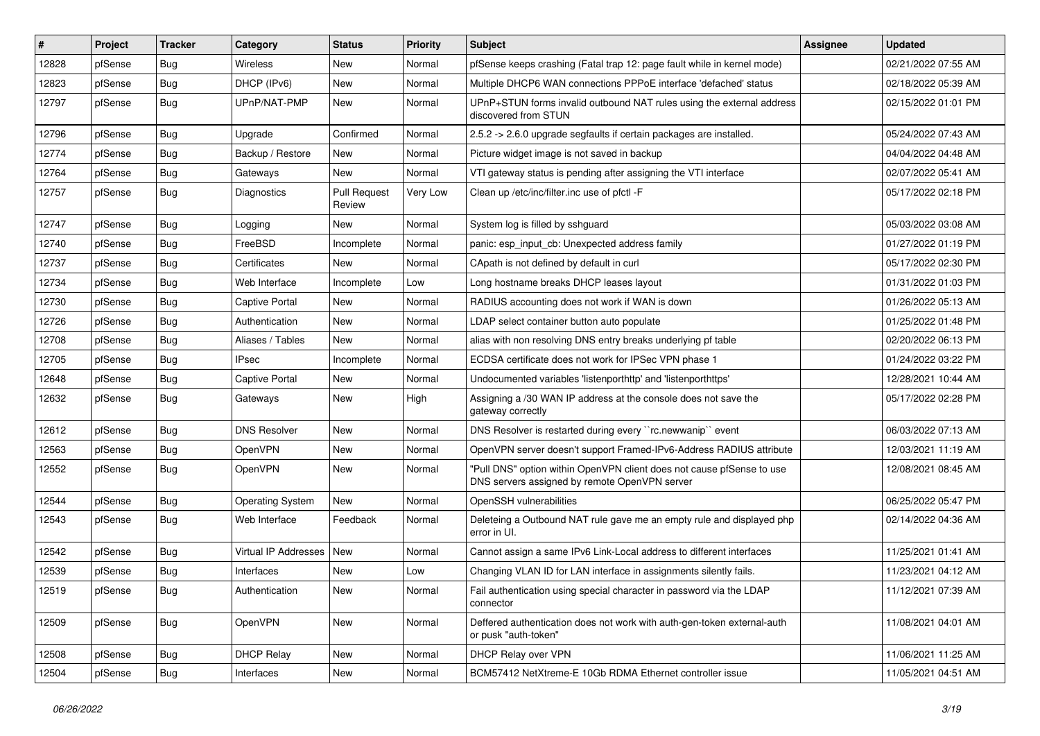| #     | Project | <b>Tracker</b> | Category                    | <b>Status</b>                 | <b>Priority</b> | Subject                                                                                                                | Assignee | <b>Updated</b>      |
|-------|---------|----------------|-----------------------------|-------------------------------|-----------------|------------------------------------------------------------------------------------------------------------------------|----------|---------------------|
| 12828 | pfSense | <b>Bug</b>     | Wireless                    | New                           | Normal          | pfSense keeps crashing (Fatal trap 12: page fault while in kernel mode)                                                |          | 02/21/2022 07:55 AM |
| 12823 | pfSense | Bug            | DHCP (IPv6)                 | <b>New</b>                    | Normal          | Multiple DHCP6 WAN connections PPPoE interface 'defached' status                                                       |          | 02/18/2022 05:39 AM |
| 12797 | pfSense | <b>Bug</b>     | UPnP/NAT-PMP                | New                           | Normal          | UPnP+STUN forms invalid outbound NAT rules using the external address<br>discovered from STUN                          |          | 02/15/2022 01:01 PM |
| 12796 | pfSense | Bug            | Upgrade                     | Confirmed                     | Normal          | 2.5.2 -> 2.6.0 upgrade segfaults if certain packages are installed.                                                    |          | 05/24/2022 07:43 AM |
| 12774 | pfSense | <b>Bug</b>     | Backup / Restore            | <b>New</b>                    | Normal          | Picture widget image is not saved in backup                                                                            |          | 04/04/2022 04:48 AM |
| 12764 | pfSense | <b>Bug</b>     | Gateways                    | <b>New</b>                    | Normal          | VTI gateway status is pending after assigning the VTI interface                                                        |          | 02/07/2022 05:41 AM |
| 12757 | pfSense | <b>Bug</b>     | Diagnostics                 | <b>Pull Request</b><br>Review | Very Low        | Clean up /etc/inc/filter.inc use of pfctl -F                                                                           |          | 05/17/2022 02:18 PM |
| 12747 | pfSense | Bug            | Logging                     | <b>New</b>                    | Normal          | System log is filled by sshguard                                                                                       |          | 05/03/2022 03:08 AM |
| 12740 | pfSense | Bug            | FreeBSD                     | Incomplete                    | Normal          | panic: esp input cb: Unexpected address family                                                                         |          | 01/27/2022 01:19 PM |
| 12737 | pfSense | <b>Bug</b>     | Certificates                | New                           | Normal          | CApath is not defined by default in curl                                                                               |          | 05/17/2022 02:30 PM |
| 12734 | pfSense | Bug            | Web Interface               | Incomplete                    | Low             | Long hostname breaks DHCP leases layout                                                                                |          | 01/31/2022 01:03 PM |
| 12730 | pfSense | <b>Bug</b>     | <b>Captive Portal</b>       | <b>New</b>                    | Normal          | RADIUS accounting does not work if WAN is down                                                                         |          | 01/26/2022 05:13 AM |
| 12726 | pfSense | <b>Bug</b>     | Authentication              | New                           | Normal          | LDAP select container button auto populate                                                                             |          | 01/25/2022 01:48 PM |
| 12708 | pfSense | <b>Bug</b>     | Aliases / Tables            | <b>New</b>                    | Normal          | alias with non resolving DNS entry breaks underlying pf table                                                          |          | 02/20/2022 06:13 PM |
| 12705 | pfSense | <b>Bug</b>     | <b>IPsec</b>                | Incomplete                    | Normal          | ECDSA certificate does not work for IPSec VPN phase 1                                                                  |          | 01/24/2022 03:22 PM |
| 12648 | pfSense | Bug            | <b>Captive Portal</b>       | New                           | Normal          | Undocumented variables 'listenporthttp' and 'listenporthttps'                                                          |          | 12/28/2021 10:44 AM |
| 12632 | pfSense | <b>Bug</b>     | Gateways                    | New                           | High            | Assigning a /30 WAN IP address at the console does not save the<br>gateway correctly                                   |          | 05/17/2022 02:28 PM |
| 12612 | pfSense | Bug            | <b>DNS Resolver</b>         | <b>New</b>                    | Normal          | DNS Resolver is restarted during every "rc.newwanip" event                                                             |          | 06/03/2022 07:13 AM |
| 12563 | pfSense | Bug            | OpenVPN                     | New                           | Normal          | OpenVPN server doesn't support Framed-IPv6-Address RADIUS attribute                                                    |          | 12/03/2021 11:19 AM |
| 12552 | pfSense | <b>Bug</b>     | OpenVPN                     | New                           | Normal          | "Pull DNS" option within OpenVPN client does not cause pfSense to use<br>DNS servers assigned by remote OpenVPN server |          | 12/08/2021 08:45 AM |
| 12544 | pfSense | Bug            | <b>Operating System</b>     | New                           | Normal          | OpenSSH vulnerabilities                                                                                                |          | 06/25/2022 05:47 PM |
| 12543 | pfSense | Bug            | Web Interface               | Feedback                      | Normal          | Deleteing a Outbound NAT rule gave me an empty rule and displayed php<br>error in UI.                                  |          | 02/14/2022 04:36 AM |
| 12542 | pfSense | <b>Bug</b>     | <b>Virtual IP Addresses</b> | <b>New</b>                    | Normal          | Cannot assign a same IPv6 Link-Local address to different interfaces                                                   |          | 11/25/2021 01:41 AM |
| 12539 | pfSense | <b>Bug</b>     | Interfaces                  | New                           | Low             | Changing VLAN ID for LAN interface in assignments silently fails.                                                      |          | 11/23/2021 04:12 AM |
| 12519 | pfSense | Bug            | Authentication              | New                           | Normal          | Fail authentication using special character in password via the LDAP<br>connector                                      |          | 11/12/2021 07:39 AM |
| 12509 | pfSense | <b>Bug</b>     | OpenVPN                     | New                           | Normal          | Deffered authentication does not work with auth-gen-token external-auth<br>or pusk "auth-token"                        |          | 11/08/2021 04:01 AM |
| 12508 | pfSense | Bug            | <b>DHCP Relay</b>           | New                           | Normal          | DHCP Relay over VPN                                                                                                    |          | 11/06/2021 11:25 AM |
| 12504 | pfSense | Bug            | Interfaces                  | New                           | Normal          | BCM57412 NetXtreme-E 10Gb RDMA Ethernet controller issue                                                               |          | 11/05/2021 04:51 AM |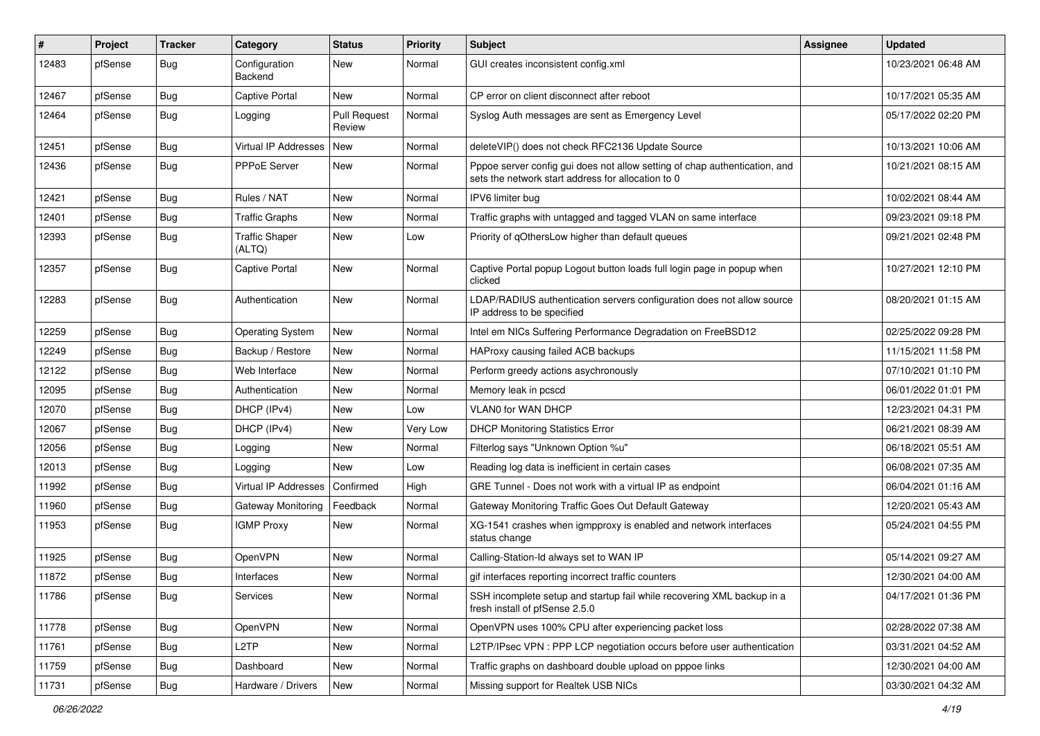| #     | Project | <b>Tracker</b> | Category                        | <b>Status</b>                 | <b>Priority</b> | Subject                                                                                                                          | <b>Assignee</b> | <b>Updated</b>      |
|-------|---------|----------------|---------------------------------|-------------------------------|-----------------|----------------------------------------------------------------------------------------------------------------------------------|-----------------|---------------------|
| 12483 | pfSense | Bug            | Configuration<br>Backend        | New                           | Normal          | GUI creates inconsistent config.xml                                                                                              |                 | 10/23/2021 06:48 AM |
| 12467 | pfSense | Bug            | <b>Captive Portal</b>           | <b>New</b>                    | Normal          | CP error on client disconnect after reboot                                                                                       |                 | 10/17/2021 05:35 AM |
| 12464 | pfSense | Bug            | Logging                         | <b>Pull Request</b><br>Review | Normal          | Syslog Auth messages are sent as Emergency Level                                                                                 |                 | 05/17/2022 02:20 PM |
| 12451 | pfSense | Bug            | <b>Virtual IP Addresses</b>     | New                           | Normal          | deleteVIP() does not check RFC2136 Update Source                                                                                 |                 | 10/13/2021 10:06 AM |
| 12436 | pfSense | <b>Bug</b>     | <b>PPPoE Server</b>             | New                           | Normal          | Pppoe server config gui does not allow setting of chap authentication, and<br>sets the network start address for allocation to 0 |                 | 10/21/2021 08:15 AM |
| 12421 | pfSense | Bug            | Rules / NAT                     | <b>New</b>                    | Normal          | IPV6 limiter bug                                                                                                                 |                 | 10/02/2021 08:44 AM |
| 12401 | pfSense | <b>Bug</b>     | <b>Traffic Graphs</b>           | New                           | Normal          | Traffic graphs with untagged and tagged VLAN on same interface                                                                   |                 | 09/23/2021 09:18 PM |
| 12393 | pfSense | Bug            | <b>Traffic Shaper</b><br>(ALTQ) | <b>New</b>                    | Low             | Priority of qOthersLow higher than default queues                                                                                |                 | 09/21/2021 02:48 PM |
| 12357 | pfSense | <b>Bug</b>     | Captive Portal                  | New                           | Normal          | Captive Portal popup Logout button loads full login page in popup when<br>clicked                                                |                 | 10/27/2021 12:10 PM |
| 12283 | pfSense | Bug            | Authentication                  | New                           | Normal          | LDAP/RADIUS authentication servers configuration does not allow source<br>IP address to be specified                             |                 | 08/20/2021 01:15 AM |
| 12259 | pfSense | Bug            | <b>Operating System</b>         | <b>New</b>                    | Normal          | Intel em NICs Suffering Performance Degradation on FreeBSD12                                                                     |                 | 02/25/2022 09:28 PM |
| 12249 | pfSense | <b>Bug</b>     | Backup / Restore                | New                           | Normal          | HAProxy causing failed ACB backups                                                                                               |                 | 11/15/2021 11:58 PM |
| 12122 | pfSense | <b>Bug</b>     | Web Interface                   | <b>New</b>                    | Normal          | Perform greedy actions asychronously                                                                                             |                 | 07/10/2021 01:10 PM |
| 12095 | pfSense | <b>Bug</b>     | Authentication                  | New                           | Normal          | Memory leak in pcscd                                                                                                             |                 | 06/01/2022 01:01 PM |
| 12070 | pfSense | <b>Bug</b>     | DHCP (IPv4)                     | <b>New</b>                    | Low             | <b>VLAN0 for WAN DHCP</b>                                                                                                        |                 | 12/23/2021 04:31 PM |
| 12067 | pfSense | Bug            | DHCP (IPv4)                     | New                           | Very Low        | <b>DHCP Monitoring Statistics Error</b>                                                                                          |                 | 06/21/2021 08:39 AM |
| 12056 | pfSense | <b>Bug</b>     | Logging                         | New                           | Normal          | Filterlog says "Unknown Option %u"                                                                                               |                 | 06/18/2021 05:51 AM |
| 12013 | pfSense | <b>Bug</b>     | Logging                         | <b>New</b>                    | Low             | Reading log data is inefficient in certain cases                                                                                 |                 | 06/08/2021 07:35 AM |
| 11992 | pfSense | <b>Bug</b>     | <b>Virtual IP Addresses</b>     | Confirmed                     | High            | GRE Tunnel - Does not work with a virtual IP as endpoint                                                                         |                 | 06/04/2021 01:16 AM |
| 11960 | pfSense | <b>Bug</b>     | <b>Gateway Monitoring</b>       | Feedback                      | Normal          | Gateway Monitoring Traffic Goes Out Default Gateway                                                                              |                 | 12/20/2021 05:43 AM |
| 11953 | pfSense | Bug            | <b>IGMP Proxy</b>               | New                           | Normal          | XG-1541 crashes when igmpproxy is enabled and network interfaces<br>status change                                                |                 | 05/24/2021 04:55 PM |
| 11925 | pfSense | Bug            | OpenVPN                         | <b>New</b>                    | Normal          | Calling-Station-Id always set to WAN IP                                                                                          |                 | 05/14/2021 09:27 AM |
| 11872 | pfSense | Bug            | Interfaces                      | <b>New</b>                    | Normal          | gif interfaces reporting incorrect traffic counters                                                                              |                 | 12/30/2021 04:00 AM |
| 11786 | pfSense | <b>Bug</b>     | Services                        | New                           | Normal          | SSH incomplete setup and startup fail while recovering XML backup in a<br>fresh install of pfSense 2.5.0                         |                 | 04/17/2021 01:36 PM |
| 11778 | pfSense | <b>Bug</b>     | OpenVPN                         | New                           | Normal          | OpenVPN uses 100% CPU after experiencing packet loss                                                                             |                 | 02/28/2022 07:38 AM |
| 11761 | pfSense | Bug            | L <sub>2</sub> TP               | New                           | Normal          | L2TP/IPsec VPN : PPP LCP negotiation occurs before user authentication                                                           |                 | 03/31/2021 04:52 AM |
| 11759 | pfSense | <b>Bug</b>     | Dashboard                       | New                           | Normal          | Traffic graphs on dashboard double upload on pppoe links                                                                         |                 | 12/30/2021 04:00 AM |
| 11731 | pfSense | Bug            | Hardware / Drivers              | New                           | Normal          | Missing support for Realtek USB NICs                                                                                             |                 | 03/30/2021 04:32 AM |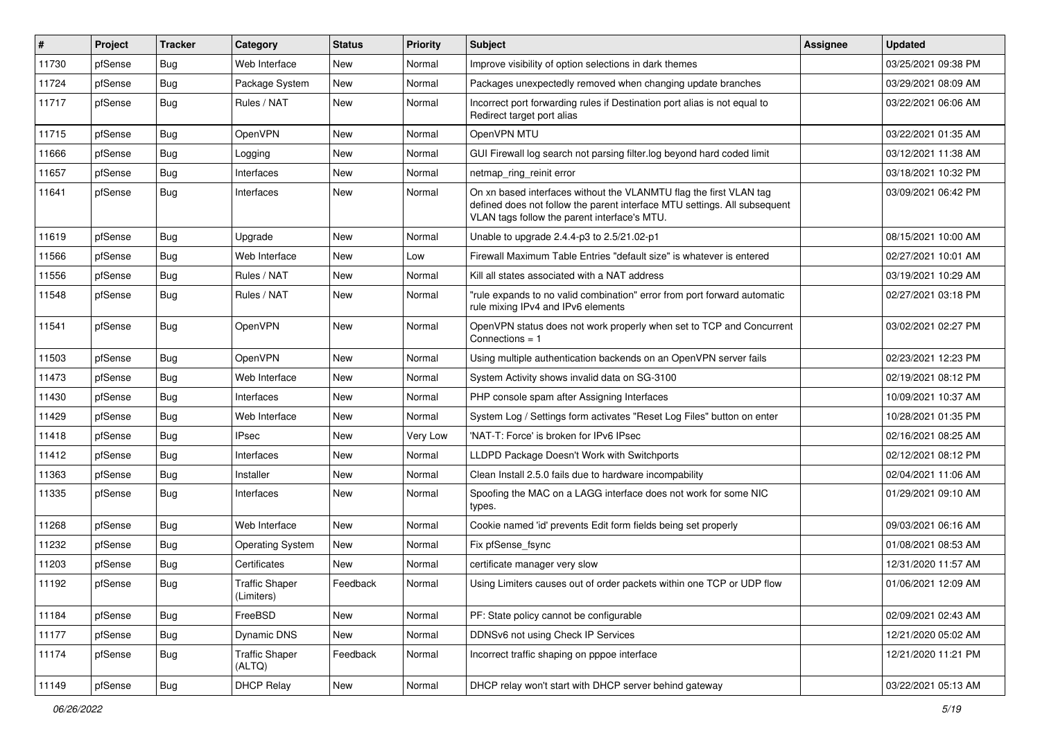| #     | Project | <b>Tracker</b> | Category                            | <b>Status</b> | <b>Priority</b> | Subject                                                                                                                                                                                         | <b>Assignee</b> | <b>Updated</b>      |
|-------|---------|----------------|-------------------------------------|---------------|-----------------|-------------------------------------------------------------------------------------------------------------------------------------------------------------------------------------------------|-----------------|---------------------|
| 11730 | pfSense | Bug            | Web Interface                       | New           | Normal          | Improve visibility of option selections in dark themes                                                                                                                                          |                 | 03/25/2021 09:38 PM |
| 11724 | pfSense | <b>Bug</b>     | Package System                      | New           | Normal          | Packages unexpectedly removed when changing update branches                                                                                                                                     |                 | 03/29/2021 08:09 AM |
| 11717 | pfSense | Bug            | Rules / NAT                         | New           | Normal          | Incorrect port forwarding rules if Destination port alias is not equal to<br>Redirect target port alias                                                                                         |                 | 03/22/2021 06:06 AM |
| 11715 | pfSense | <b>Bug</b>     | OpenVPN                             | New           | Normal          | OpenVPN MTU                                                                                                                                                                                     |                 | 03/22/2021 01:35 AM |
| 11666 | pfSense | Bug            | Logging                             | <b>New</b>    | Normal          | GUI Firewall log search not parsing filter.log beyond hard coded limit                                                                                                                          |                 | 03/12/2021 11:38 AM |
| 11657 | pfSense | <b>Bug</b>     | Interfaces                          | New           | Normal          | netmap_ring_reinit error                                                                                                                                                                        |                 | 03/18/2021 10:32 PM |
| 11641 | pfSense | <b>Bug</b>     | Interfaces                          | New           | Normal          | On xn based interfaces without the VLANMTU flag the first VLAN tag<br>defined does not follow the parent interface MTU settings. All subsequent<br>VLAN tags follow the parent interface's MTU. |                 | 03/09/2021 06:42 PM |
| 11619 | pfSense | Bug            | Upgrade                             | New           | Normal          | Unable to upgrade 2.4.4-p3 to 2.5/21.02-p1                                                                                                                                                      |                 | 08/15/2021 10:00 AM |
| 11566 | pfSense | <b>Bug</b>     | Web Interface                       | New           | Low             | Firewall Maximum Table Entries "default size" is whatever is entered                                                                                                                            |                 | 02/27/2021 10:01 AM |
| 11556 | pfSense | Bug            | Rules / NAT                         | New           | Normal          | Kill all states associated with a NAT address                                                                                                                                                   |                 | 03/19/2021 10:29 AM |
| 11548 | pfSense | Bug            | Rules / NAT                         | <b>New</b>    | Normal          | "rule expands to no valid combination" error from port forward automatic<br>rule mixing IPv4 and IPv6 elements                                                                                  |                 | 02/27/2021 03:18 PM |
| 11541 | pfSense | <b>Bug</b>     | OpenVPN                             | New           | Normal          | OpenVPN status does not work properly when set to TCP and Concurrent<br>Connections $= 1$                                                                                                       |                 | 03/02/2021 02:27 PM |
| 11503 | pfSense | <b>Bug</b>     | OpenVPN                             | New           | Normal          | Using multiple authentication backends on an OpenVPN server fails                                                                                                                               |                 | 02/23/2021 12:23 PM |
| 11473 | pfSense | <b>Bug</b>     | Web Interface                       | New           | Normal          | System Activity shows invalid data on SG-3100                                                                                                                                                   |                 | 02/19/2021 08:12 PM |
| 11430 | pfSense | Bug            | Interfaces                          | New           | Normal          | PHP console spam after Assigning Interfaces                                                                                                                                                     |                 | 10/09/2021 10:37 AM |
| 11429 | pfSense | <b>Bug</b>     | Web Interface                       | New           | Normal          | System Log / Settings form activates "Reset Log Files" button on enter                                                                                                                          |                 | 10/28/2021 01:35 PM |
| 11418 | pfSense | Bug            | <b>IPsec</b>                        | New           | Very Low        | 'NAT-T: Force' is broken for IPv6 IPsec                                                                                                                                                         |                 | 02/16/2021 08:25 AM |
| 11412 | pfSense | <b>Bug</b>     | Interfaces                          | New           | Normal          | LLDPD Package Doesn't Work with Switchports                                                                                                                                                     |                 | 02/12/2021 08:12 PM |
| 11363 | pfSense | <b>Bug</b>     | Installer                           | <b>New</b>    | Normal          | Clean Install 2.5.0 fails due to hardware incompability                                                                                                                                         |                 | 02/04/2021 11:06 AM |
| 11335 | pfSense | Bug            | Interfaces                          | New           | Normal          | Spoofing the MAC on a LAGG interface does not work for some NIC<br>types.                                                                                                                       |                 | 01/29/2021 09:10 AM |
| 11268 | pfSense | <b>Bug</b>     | Web Interface                       | New           | Normal          | Cookie named 'id' prevents Edit form fields being set properly                                                                                                                                  |                 | 09/03/2021 06:16 AM |
| 11232 | pfSense | Bug            | <b>Operating System</b>             | New           | Normal          | Fix pfSense_fsync                                                                                                                                                                               |                 | 01/08/2021 08:53 AM |
| 11203 | pfSense | Bug            | Certificates                        | New           | Normal          | certificate manager very slow                                                                                                                                                                   |                 | 12/31/2020 11:57 AM |
| 11192 | pfSense | Bug            | <b>Traffic Shaper</b><br>(Limiters) | Feedback      | Normal          | Using Limiters causes out of order packets within one TCP or UDP flow                                                                                                                           |                 | 01/06/2021 12:09 AM |
| 11184 | pfSense | <b>Bug</b>     | FreeBSD                             | New           | Normal          | PF: State policy cannot be configurable                                                                                                                                                         |                 | 02/09/2021 02:43 AM |
| 11177 | pfSense | <b>Bug</b>     | Dynamic DNS                         | New           | Normal          | DDNSv6 not using Check IP Services                                                                                                                                                              |                 | 12/21/2020 05:02 AM |
| 11174 | pfSense | <b>Bug</b>     | <b>Traffic Shaper</b><br>(ALTQ)     | Feedback      | Normal          | Incorrect traffic shaping on pppoe interface                                                                                                                                                    |                 | 12/21/2020 11:21 PM |
| 11149 | pfSense | Bug            | <b>DHCP Relay</b>                   | New           | Normal          | DHCP relay won't start with DHCP server behind gateway                                                                                                                                          |                 | 03/22/2021 05:13 AM |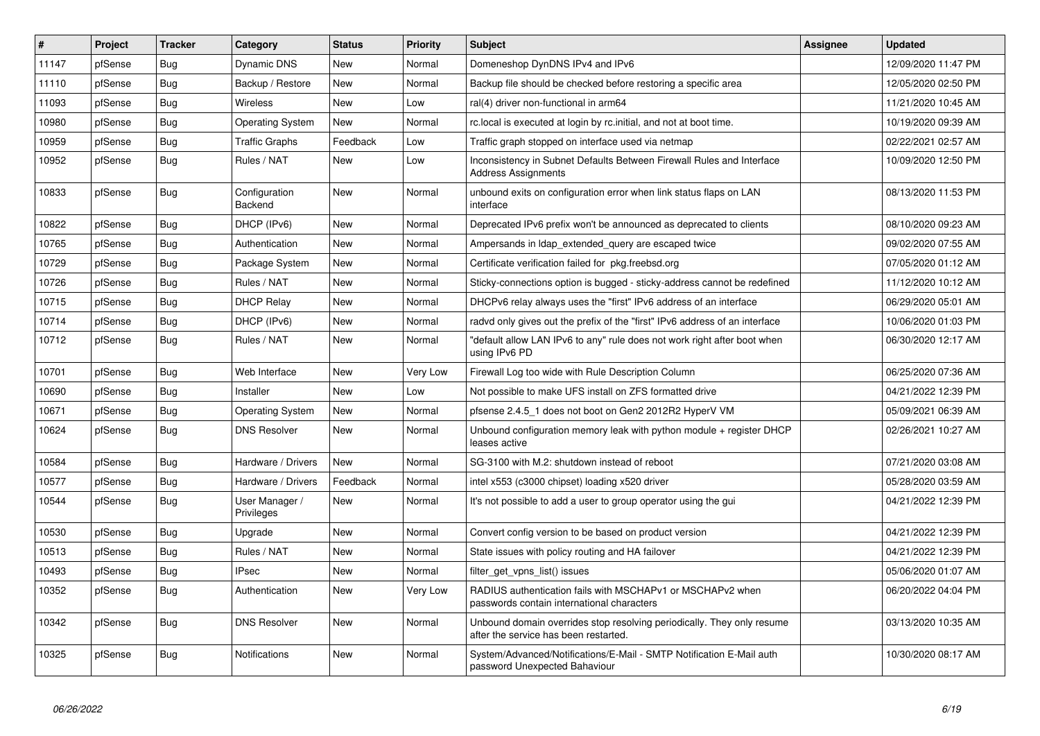| $\pmb{\sharp}$ | Project | <b>Tracker</b> | Category                     | <b>Status</b> | <b>Priority</b> | <b>Subject</b>                                                                                                  | Assignee | <b>Updated</b>      |
|----------------|---------|----------------|------------------------------|---------------|-----------------|-----------------------------------------------------------------------------------------------------------------|----------|---------------------|
| 11147          | pfSense | Bug            | <b>Dynamic DNS</b>           | <b>New</b>    | Normal          | Domeneshop DynDNS IPv4 and IPv6                                                                                 |          | 12/09/2020 11:47 PM |
| 11110          | pfSense | <b>Bug</b>     | Backup / Restore             | <b>New</b>    | Normal          | Backup file should be checked before restoring a specific area                                                  |          | 12/05/2020 02:50 PM |
| 11093          | pfSense | <b>Bug</b>     | <b>Wireless</b>              | <b>New</b>    | Low             | ral(4) driver non-functional in arm64                                                                           |          | 11/21/2020 10:45 AM |
| 10980          | pfSense | <b>Bug</b>     | <b>Operating System</b>      | <b>New</b>    | Normal          | rc.local is executed at login by rc.initial, and not at boot time.                                              |          | 10/19/2020 09:39 AM |
| 10959          | pfSense | Bug            | Traffic Graphs               | Feedback      | Low             | Traffic graph stopped on interface used via netmap                                                              |          | 02/22/2021 02:57 AM |
| 10952          | pfSense | <b>Bug</b>     | Rules / NAT                  | New           | Low             | Inconsistency in Subnet Defaults Between Firewall Rules and Interface<br><b>Address Assignments</b>             |          | 10/09/2020 12:50 PM |
| 10833          | pfSense | Bug            | Configuration<br>Backend     | <b>New</b>    | Normal          | unbound exits on configuration error when link status flaps on LAN<br>interface                                 |          | 08/13/2020 11:53 PM |
| 10822          | pfSense | Bug            | DHCP (IPv6)                  | <b>New</b>    | Normal          | Deprecated IPv6 prefix won't be announced as deprecated to clients                                              |          | 08/10/2020 09:23 AM |
| 10765          | pfSense | Bug            | Authentication               | <b>New</b>    | Normal          | Ampersands in Idap extended query are escaped twice                                                             |          | 09/02/2020 07:55 AM |
| 10729          | pfSense | <b>Bug</b>     | Package System               | <b>New</b>    | Normal          | Certificate verification failed for pkg.freebsd.org                                                             |          | 07/05/2020 01:12 AM |
| 10726          | pfSense | <b>Bug</b>     | Rules / NAT                  | New           | Normal          | Sticky-connections option is bugged - sticky-address cannot be redefined                                        |          | 11/12/2020 10:12 AM |
| 10715          | pfSense | <b>Bug</b>     | <b>DHCP Relay</b>            | <b>New</b>    | Normal          | DHCPv6 relay always uses the "first" IPv6 address of an interface                                               |          | 06/29/2020 05:01 AM |
| 10714          | pfSense | <b>Bug</b>     | DHCP (IPv6)                  | New           | Normal          | radvd only gives out the prefix of the "first" IPv6 address of an interface                                     |          | 10/06/2020 01:03 PM |
| 10712          | pfSense | <b>Bug</b>     | Rules / NAT                  | <b>New</b>    | Normal          | "default allow LAN IPv6 to any" rule does not work right after boot when<br>using IPv6 PD                       |          | 06/30/2020 12:17 AM |
| 10701          | pfSense | <b>Bug</b>     | Web Interface                | New           | Very Low        | Firewall Log too wide with Rule Description Column                                                              |          | 06/25/2020 07:36 AM |
| 10690          | pfSense | <b>Bug</b>     | Installer                    | <b>New</b>    | Low             | Not possible to make UFS install on ZFS formatted drive                                                         |          | 04/21/2022 12:39 PM |
| 10671          | pfSense | <b>Bug</b>     | <b>Operating System</b>      | New           | Normal          | pfsense 2.4.5 1 does not boot on Gen2 2012R2 HyperV VM                                                          |          | 05/09/2021 06:39 AM |
| 10624          | pfSense | <b>Bug</b>     | <b>DNS Resolver</b>          | New           | Normal          | Unbound configuration memory leak with python module $+$ register DHCP<br>leases active                         |          | 02/26/2021 10:27 AM |
| 10584          | pfSense | Bug            | Hardware / Drivers           | <b>New</b>    | Normal          | SG-3100 with M.2: shutdown instead of reboot                                                                    |          | 07/21/2020 03:08 AM |
| 10577          | pfSense | <b>Bug</b>     | Hardware / Drivers           | Feedback      | Normal          | intel x553 (c3000 chipset) loading x520 driver                                                                  |          | 05/28/2020 03:59 AM |
| 10544          | pfSense | <b>Bug</b>     | User Manager /<br>Privileges | <b>New</b>    | Normal          | It's not possible to add a user to group operator using the gui                                                 |          | 04/21/2022 12:39 PM |
| 10530          | pfSense | <b>Bug</b>     | Upgrade                      | New           | Normal          | Convert config version to be based on product version                                                           |          | 04/21/2022 12:39 PM |
| 10513          | pfSense | <b>Bug</b>     | Rules / NAT                  | New           | Normal          | State issues with policy routing and HA failover                                                                |          | 04/21/2022 12:39 PM |
| 10493          | pfSense | Bug            | <b>IPsec</b>                 | New           | Normal          | filter get vpns list() issues                                                                                   |          | 05/06/2020 01:07 AM |
| 10352          | pfSense | <b>Bug</b>     | Authentication               | New           | Very Low        | RADIUS authentication fails with MSCHAPv1 or MSCHAPv2 when<br>passwords contain international characters        |          | 06/20/2022 04:04 PM |
| 10342          | pfSense | Bug            | <b>DNS Resolver</b>          | New           | Normal          | Unbound domain overrides stop resolving periodically. They only resume<br>after the service has been restarted. |          | 03/13/2020 10:35 AM |
| 10325          | pfSense | <b>Bug</b>     | <b>Notifications</b>         | <b>New</b>    | Normal          | System/Advanced/Notifications/E-Mail - SMTP Notification E-Mail auth<br>password Unexpected Bahaviour           |          | 10/30/2020 08:17 AM |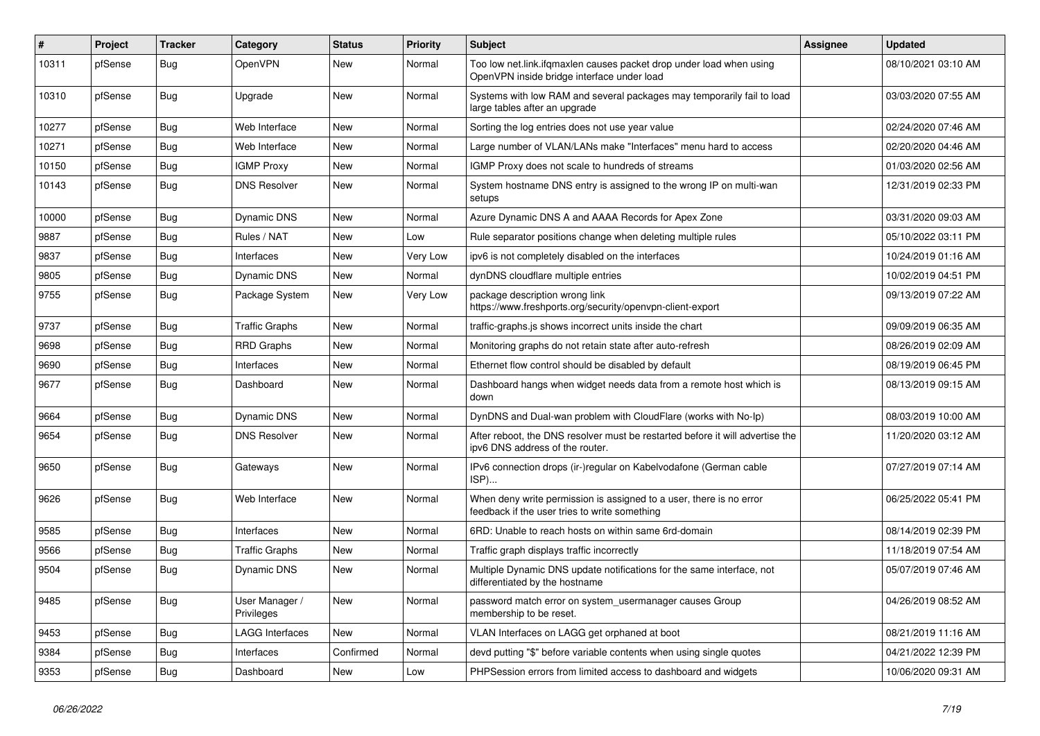| #     | Project | <b>Tracker</b> | Category                     | <b>Status</b> | <b>Priority</b> | <b>Subject</b>                                                                                                       | Assignee | <b>Updated</b>      |
|-------|---------|----------------|------------------------------|---------------|-----------------|----------------------------------------------------------------------------------------------------------------------|----------|---------------------|
| 10311 | pfSense | <b>Bug</b>     | OpenVPN                      | New           | Normal          | Too low net.link.ifqmaxlen causes packet drop under load when using<br>OpenVPN inside bridge interface under load    |          | 08/10/2021 03:10 AM |
| 10310 | pfSense | <b>Bug</b>     | Upgrade                      | New           | Normal          | Systems with low RAM and several packages may temporarily fail to load<br>large tables after an upgrade              |          | 03/03/2020 07:55 AM |
| 10277 | pfSense | Bug            | Web Interface                | <b>New</b>    | Normal          | Sorting the log entries does not use year value                                                                      |          | 02/24/2020 07:46 AM |
| 10271 | pfSense | <b>Bug</b>     | Web Interface                | New           | Normal          | Large number of VLAN/LANs make "Interfaces" menu hard to access                                                      |          | 02/20/2020 04:46 AM |
| 10150 | pfSense | <b>Bug</b>     | <b>IGMP Proxy</b>            | New           | Normal          | IGMP Proxy does not scale to hundreds of streams                                                                     |          | 01/03/2020 02:56 AM |
| 10143 | pfSense | <b>Bug</b>     | <b>DNS Resolver</b>          | New           | Normal          | System hostname DNS entry is assigned to the wrong IP on multi-wan<br>setups                                         |          | 12/31/2019 02:33 PM |
| 10000 | pfSense | <b>Bug</b>     | Dynamic DNS                  | New           | Normal          | Azure Dynamic DNS A and AAAA Records for Apex Zone                                                                   |          | 03/31/2020 09:03 AM |
| 9887  | pfSense | <b>Bug</b>     | Rules / NAT                  | New           | Low             | Rule separator positions change when deleting multiple rules                                                         |          | 05/10/2022 03:11 PM |
| 9837  | pfSense | <b>Bug</b>     | Interfaces                   | New           | Very Low        | ipv6 is not completely disabled on the interfaces                                                                    |          | 10/24/2019 01:16 AM |
| 9805  | pfSense | <b>Bug</b>     | <b>Dynamic DNS</b>           | New           | Normal          | dynDNS cloudflare multiple entries                                                                                   |          | 10/02/2019 04:51 PM |
| 9755  | pfSense | <b>Bug</b>     | Package System               | New           | Very Low        | package description wrong link<br>https://www.freshports.org/security/openvpn-client-export                          |          | 09/13/2019 07:22 AM |
| 9737  | pfSense | <b>Bug</b>     | <b>Traffic Graphs</b>        | <b>New</b>    | Normal          | traffic-graphs.js shows incorrect units inside the chart                                                             |          | 09/09/2019 06:35 AM |
| 9698  | pfSense | <b>Bug</b>     | <b>RRD Graphs</b>            | New           | Normal          | Monitoring graphs do not retain state after auto-refresh                                                             |          | 08/26/2019 02:09 AM |
| 9690  | pfSense | <b>Bug</b>     | Interfaces                   | New           | Normal          | Ethernet flow control should be disabled by default                                                                  |          | 08/19/2019 06:45 PM |
| 9677  | pfSense | <b>Bug</b>     | Dashboard                    | New           | Normal          | Dashboard hangs when widget needs data from a remote host which is<br>down                                           |          | 08/13/2019 09:15 AM |
| 9664  | pfSense | <b>Bug</b>     | <b>Dynamic DNS</b>           | New           | Normal          | DynDNS and Dual-wan problem with CloudFlare (works with No-Ip)                                                       |          | 08/03/2019 10:00 AM |
| 9654  | pfSense | <b>Bug</b>     | <b>DNS Resolver</b>          | New           | Normal          | After reboot, the DNS resolver must be restarted before it will advertise the<br>ipv6 DNS address of the router.     |          | 11/20/2020 03:12 AM |
| 9650  | pfSense | <b>Bug</b>     | Gateways                     | New           | Normal          | IPv6 connection drops (ir-)regular on Kabelvodafone (German cable<br>ISP)                                            |          | 07/27/2019 07:14 AM |
| 9626  | pfSense | <b>Bug</b>     | Web Interface                | New           | Normal          | When deny write permission is assigned to a user, there is no error<br>feedback if the user tries to write something |          | 06/25/2022 05:41 PM |
| 9585  | pfSense | <b>Bug</b>     | Interfaces                   | New           | Normal          | 6RD: Unable to reach hosts on within same 6rd-domain                                                                 |          | 08/14/2019 02:39 PM |
| 9566  | pfSense | <b>Bug</b>     | <b>Traffic Graphs</b>        | New           | Normal          | Traffic graph displays traffic incorrectly                                                                           |          | 11/18/2019 07:54 AM |
| 9504  | pfSense | <b>Bug</b>     | Dynamic DNS                  | New           | Normal          | Multiple Dynamic DNS update notifications for the same interface, not<br>differentiated by the hostname              |          | 05/07/2019 07:46 AM |
| 9485  | pfSense | <b>Bug</b>     | User Manager /<br>Privileges | New           | Normal          | password match error on system usermanager causes Group<br>membership to be reset.                                   |          | 04/26/2019 08:52 AM |
| 9453  | pfSense | <b>Bug</b>     | <b>LAGG Interfaces</b>       | New           | Normal          | VLAN Interfaces on LAGG get orphaned at boot                                                                         |          | 08/21/2019 11:16 AM |
| 9384  | pfSense | <b>Bug</b>     | Interfaces                   | Confirmed     | Normal          | devd putting "\$" before variable contents when using single quotes                                                  |          | 04/21/2022 12:39 PM |
| 9353  | pfSense | Bug            | Dashboard                    | New           | Low             | PHPSession errors from limited access to dashboard and widgets                                                       |          | 10/06/2020 09:31 AM |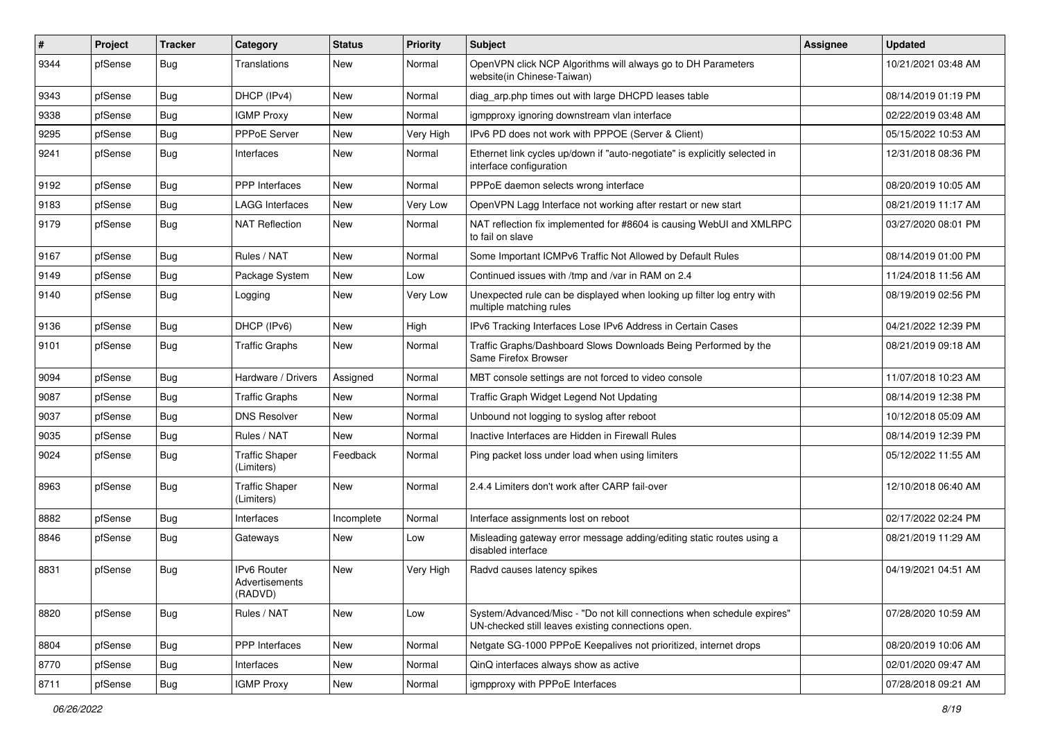| $\vert$ # | Project | <b>Tracker</b> | Category                                 | <b>Status</b> | <b>Priority</b> | <b>Subject</b>                                                                                                               | <b>Assignee</b> | <b>Updated</b>      |
|-----------|---------|----------------|------------------------------------------|---------------|-----------------|------------------------------------------------------------------------------------------------------------------------------|-----------------|---------------------|
| 9344      | pfSense | Bug            | <b>Translations</b>                      | New           | Normal          | OpenVPN click NCP Algorithms will always go to DH Parameters<br>website(in Chinese-Taiwan)                                   |                 | 10/21/2021 03:48 AM |
| 9343      | pfSense | <b>Bug</b>     | DHCP (IPv4)                              | New           | Normal          | diag_arp.php times out with large DHCPD leases table                                                                         |                 | 08/14/2019 01:19 PM |
| 9338      | pfSense | Bug            | <b>IGMP Proxy</b>                        | <b>New</b>    | Normal          | igmpproxy ignoring downstream vlan interface                                                                                 |                 | 02/22/2019 03:48 AM |
| 9295      | pfSense | <b>Bug</b>     | PPPoE Server                             | New           | Very High       | IPv6 PD does not work with PPPOE (Server & Client)                                                                           |                 | 05/15/2022 10:53 AM |
| 9241      | pfSense | Bug            | Interfaces                               | New           | Normal          | Ethernet link cycles up/down if "auto-negotiate" is explicitly selected in<br>interface configuration                        |                 | 12/31/2018 08:36 PM |
| 9192      | pfSense | Bug            | PPP Interfaces                           | <b>New</b>    | Normal          | PPPoE daemon selects wrong interface                                                                                         |                 | 08/20/2019 10:05 AM |
| 9183      | pfSense | Bug            | <b>LAGG Interfaces</b>                   | New           | Very Low        | OpenVPN Lagg Interface not working after restart or new start                                                                |                 | 08/21/2019 11:17 AM |
| 9179      | pfSense | <b>Bug</b>     | <b>NAT Reflection</b>                    | New           | Normal          | NAT reflection fix implemented for #8604 is causing WebUI and XMLRPC<br>to fail on slave                                     |                 | 03/27/2020 08:01 PM |
| 9167      | pfSense | <b>Bug</b>     | Rules / NAT                              | New           | Normal          | Some Important ICMPv6 Traffic Not Allowed by Default Rules                                                                   |                 | 08/14/2019 01:00 PM |
| 9149      | pfSense | <b>Bug</b>     | Package System                           | New           | Low             | Continued issues with /tmp and /var in RAM on 2.4                                                                            |                 | 11/24/2018 11:56 AM |
| 9140      | pfSense | Bug            | Logging                                  | New           | Very Low        | Unexpected rule can be displayed when looking up filter log entry with<br>multiple matching rules                            |                 | 08/19/2019 02:56 PM |
| 9136      | pfSense | Bug            | DHCP (IPv6)                              | <b>New</b>    | High            | IPv6 Tracking Interfaces Lose IPv6 Address in Certain Cases                                                                  |                 | 04/21/2022 12:39 PM |
| 9101      | pfSense | <b>Bug</b>     | <b>Traffic Graphs</b>                    | New           | Normal          | Traffic Graphs/Dashboard Slows Downloads Being Performed by the<br>Same Firefox Browser                                      |                 | 08/21/2019 09:18 AM |
| 9094      | pfSense | <b>Bug</b>     | Hardware / Drivers                       | Assigned      | Normal          | MBT console settings are not forced to video console                                                                         |                 | 11/07/2018 10:23 AM |
| 9087      | pfSense | Bug            | <b>Traffic Graphs</b>                    | New           | Normal          | Traffic Graph Widget Legend Not Updating                                                                                     |                 | 08/14/2019 12:38 PM |
| 9037      | pfSense | Bug            | <b>DNS Resolver</b>                      | New           | Normal          | Unbound not logging to syslog after reboot                                                                                   |                 | 10/12/2018 05:09 AM |
| 9035      | pfSense | <b>Bug</b>     | Rules / NAT                              | <b>New</b>    | Normal          | Inactive Interfaces are Hidden in Firewall Rules                                                                             |                 | 08/14/2019 12:39 PM |
| 9024      | pfSense | <b>Bug</b>     | <b>Traffic Shaper</b><br>(Limiters)      | Feedback      | Normal          | Ping packet loss under load when using limiters                                                                              |                 | 05/12/2022 11:55 AM |
| 8963      | pfSense | <b>Bug</b>     | <b>Traffic Shaper</b><br>(Limiters)      | New           | Normal          | 2.4.4 Limiters don't work after CARP fail-over                                                                               |                 | 12/10/2018 06:40 AM |
| 8882      | pfSense | Bug            | Interfaces                               | Incomplete    | Normal          | Interface assignments lost on reboot                                                                                         |                 | 02/17/2022 02:24 PM |
| 8846      | pfSense | <b>Bug</b>     | Gateways                                 | New           | Low             | Misleading gateway error message adding/editing static routes using a<br>disabled interface                                  |                 | 08/21/2019 11:29 AM |
| 8831      | pfSense | Bug            | IPv6 Router<br>Advertisements<br>(RADVD) | New           | Very High       | Radvd causes latency spikes                                                                                                  |                 | 04/19/2021 04:51 AM |
| 8820      | pfSense | <b>Bug</b>     | Rules / NAT                              | New           | Low             | System/Advanced/Misc - "Do not kill connections when schedule expires"<br>UN-checked still leaves existing connections open. |                 | 07/28/2020 10:59 AM |
| 8804      | pfSense | <b>Bug</b>     | PPP Interfaces                           | New           | Normal          | Netgate SG-1000 PPPoE Keepalives not prioritized, internet drops                                                             |                 | 08/20/2019 10:06 AM |
| 8770      | pfSense | <b>Bug</b>     | Interfaces                               | New           | Normal          | QinQ interfaces always show as active                                                                                        |                 | 02/01/2020 09:47 AM |
| 8711      | pfSense | Bug            | <b>IGMP Proxy</b>                        | New           | Normal          | igmpproxy with PPPoE Interfaces                                                                                              |                 | 07/28/2018 09:21 AM |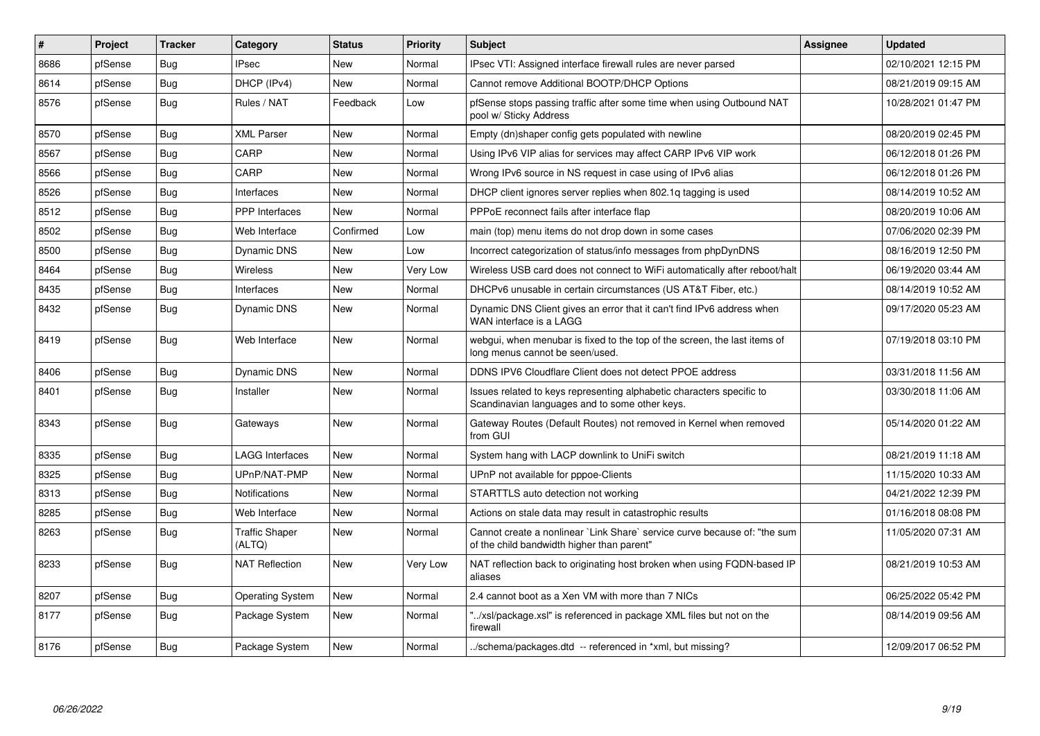| #    | Project | <b>Tracker</b> | Category                        | <b>Status</b> | <b>Priority</b> | <b>Subject</b>                                                                                                          | Assignee | <b>Updated</b>      |
|------|---------|----------------|---------------------------------|---------------|-----------------|-------------------------------------------------------------------------------------------------------------------------|----------|---------------------|
| 8686 | pfSense | Bug            | <b>IPsec</b>                    | <b>New</b>    | Normal          | IPsec VTI: Assigned interface firewall rules are never parsed                                                           |          | 02/10/2021 12:15 PM |
| 8614 | pfSense | <b>Bug</b>     | DHCP (IPv4)                     | <b>New</b>    | Normal          | Cannot remove Additional BOOTP/DHCP Options                                                                             |          | 08/21/2019 09:15 AM |
| 8576 | pfSense | Bug            | Rules / NAT                     | Feedback      | Low             | pfSense stops passing traffic after some time when using Outbound NAT<br>pool w/ Sticky Address                         |          | 10/28/2021 01:47 PM |
| 8570 | pfSense | Bug            | <b>XML Parser</b>               | <b>New</b>    | Normal          | Empty (dn)shaper config gets populated with newline                                                                     |          | 08/20/2019 02:45 PM |
| 8567 | pfSense | <b>Bug</b>     | CARP                            | <b>New</b>    | Normal          | Using IPv6 VIP alias for services may affect CARP IPv6 VIP work                                                         |          | 06/12/2018 01:26 PM |
| 8566 | pfSense | Bug            | CARP                            | <b>New</b>    | Normal          | Wrong IPv6 source in NS request in case using of IPv6 alias                                                             |          | 06/12/2018 01:26 PM |
| 8526 | pfSense | Bug            | Interfaces                      | New           | Normal          | DHCP client ignores server replies when 802.1q tagging is used                                                          |          | 08/14/2019 10:52 AM |
| 8512 | pfSense | <b>Bug</b>     | <b>PPP</b> Interfaces           | <b>New</b>    | Normal          | PPPoE reconnect fails after interface flap                                                                              |          | 08/20/2019 10:06 AM |
| 8502 | pfSense | <b>Bug</b>     | Web Interface                   | Confirmed     | Low             | main (top) menu items do not drop down in some cases                                                                    |          | 07/06/2020 02:39 PM |
| 8500 | pfSense | <b>Bug</b>     | Dynamic DNS                     | New           | Low             | Incorrect categorization of status/info messages from phpDynDNS                                                         |          | 08/16/2019 12:50 PM |
| 8464 | pfSense | Bug            | <b>Wireless</b>                 | <b>New</b>    | Very Low        | Wireless USB card does not connect to WiFi automatically after reboot/halt                                              |          | 06/19/2020 03:44 AM |
| 8435 | pfSense | <b>Bug</b>     | Interfaces                      | New           | Normal          | DHCPv6 unusable in certain circumstances (US AT&T Fiber, etc.)                                                          |          | 08/14/2019 10:52 AM |
| 8432 | pfSense | Bug            | Dynamic DNS                     | <b>New</b>    | Normal          | Dynamic DNS Client gives an error that it can't find IPv6 address when<br>WAN interface is a LAGG                       |          | 09/17/2020 05:23 AM |
| 8419 | pfSense | Bug            | Web Interface                   | <b>New</b>    | Normal          | webgui, when menubar is fixed to the top of the screen, the last items of<br>long menus cannot be seen/used.            |          | 07/19/2018 03:10 PM |
| 8406 | pfSense | <b>Bug</b>     | Dynamic DNS                     | <b>New</b>    | Normal          | DDNS IPV6 Cloudflare Client does not detect PPOE address                                                                |          | 03/31/2018 11:56 AM |
| 8401 | pfSense | Bug            | Installer                       | New           | Normal          | Issues related to keys representing alphabetic characters specific to<br>Scandinavian languages and to some other keys. |          | 03/30/2018 11:06 AM |
| 8343 | pfSense | <b>Bug</b>     | Gateways                        | New           | Normal          | Gateway Routes (Default Routes) not removed in Kernel when removed<br>from GUI                                          |          | 05/14/2020 01:22 AM |
| 8335 | pfSense | Bug            | <b>LAGG Interfaces</b>          | <b>New</b>    | Normal          | System hang with LACP downlink to UniFi switch                                                                          |          | 08/21/2019 11:18 AM |
| 8325 | pfSense | <b>Bug</b>     | UPnP/NAT-PMP                    | <b>New</b>    | Normal          | UPnP not available for pppoe-Clients                                                                                    |          | 11/15/2020 10:33 AM |
| 8313 | pfSense | Bug            | <b>Notifications</b>            | <b>New</b>    | Normal          | STARTTLS auto detection not working                                                                                     |          | 04/21/2022 12:39 PM |
| 8285 | pfSense | <b>Bug</b>     | Web Interface                   | <b>New</b>    | Normal          | Actions on stale data may result in catastrophic results                                                                |          | 01/16/2018 08:08 PM |
| 8263 | pfSense | Bug            | <b>Traffic Shaper</b><br>(ALTQ) | <b>New</b>    | Normal          | Cannot create a nonlinear `Link Share` service curve because of: "the sum<br>of the child bandwidth higher than parent" |          | 11/05/2020 07:31 AM |
| 8233 | pfSense | <b>Bug</b>     | <b>NAT Reflection</b>           | New           | Very Low        | NAT reflection back to originating host broken when using FQDN-based IP<br>aliases                                      |          | 08/21/2019 10:53 AM |
| 8207 | pfSense | Bug            | <b>Operating System</b>         | New           | Normal          | 2.4 cannot boot as a Xen VM with more than 7 NICs                                                                       |          | 06/25/2022 05:42 PM |
| 8177 | pfSense | Bug            | Package System                  | New           | Normal          | "/xsl/package.xsl" is referenced in package XML files but not on the<br>firewall                                        |          | 08/14/2019 09:56 AM |
| 8176 | pfSense | Bug            | Package System                  | New           | Normal          | ./schema/packages.dtd -- referenced in *xml, but missing?                                                               |          | 12/09/2017 06:52 PM |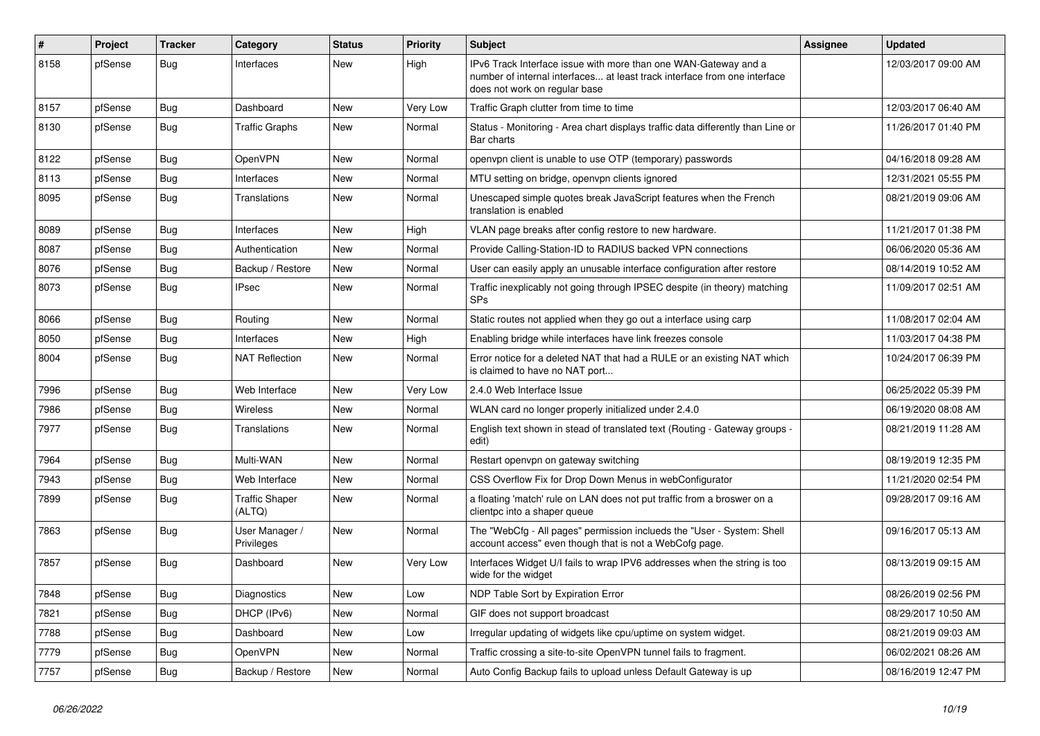| $\vert$ # | Project | <b>Tracker</b> | Category                        | <b>Status</b> | <b>Priority</b> | <b>Subject</b>                                                                                                                                                                | <b>Assignee</b> | <b>Updated</b>      |
|-----------|---------|----------------|---------------------------------|---------------|-----------------|-------------------------------------------------------------------------------------------------------------------------------------------------------------------------------|-----------------|---------------------|
| 8158      | pfSense | <b>Bug</b>     | Interfaces                      | <b>New</b>    | High            | IPv6 Track Interface issue with more than one WAN-Gateway and a<br>number of internal interfaces at least track interface from one interface<br>does not work on regular base |                 | 12/03/2017 09:00 AM |
| 8157      | pfSense | Bug            | Dashboard                       | <b>New</b>    | Very Low        | Traffic Graph clutter from time to time                                                                                                                                       |                 | 12/03/2017 06:40 AM |
| 8130      | pfSense | <b>Bug</b>     | <b>Traffic Graphs</b>           | <b>New</b>    | Normal          | Status - Monitoring - Area chart displays traffic data differently than Line or<br>Bar charts                                                                                 |                 | 11/26/2017 01:40 PM |
| 8122      | pfSense | Bug            | <b>OpenVPN</b>                  | New           | Normal          | openypn client is unable to use OTP (temporary) passwords                                                                                                                     |                 | 04/16/2018 09:28 AM |
| 8113      | pfSense | <b>Bug</b>     | Interfaces                      | <b>New</b>    | Normal          | MTU setting on bridge, openypn clients ignored                                                                                                                                |                 | 12/31/2021 05:55 PM |
| 8095      | pfSense | <b>Bug</b>     | <b>Translations</b>             | New           | Normal          | Unescaped simple quotes break JavaScript features when the French<br>translation is enabled                                                                                   |                 | 08/21/2019 09:06 AM |
| 8089      | pfSense | <b>Bug</b>     | Interfaces                      | New           | High            | VLAN page breaks after config restore to new hardware.                                                                                                                        |                 | 11/21/2017 01:38 PM |
| 8087      | pfSense | <b>Bug</b>     | Authentication                  | <b>New</b>    | Normal          | Provide Calling-Station-ID to RADIUS backed VPN connections                                                                                                                   |                 | 06/06/2020 05:36 AM |
| 8076      | pfSense | <b>Bug</b>     | Backup / Restore                | <b>New</b>    | Normal          | User can easily apply an unusable interface configuration after restore                                                                                                       |                 | 08/14/2019 10:52 AM |
| 8073      | pfSense | <b>Bug</b>     | <b>IPsec</b>                    | <b>New</b>    | Normal          | Traffic inexplicably not going through IPSEC despite (in theory) matching<br>SP <sub>s</sub>                                                                                  |                 | 11/09/2017 02:51 AM |
| 8066      | pfSense | Bug            | Routing                         | New           | Normal          | Static routes not applied when they go out a interface using carp                                                                                                             |                 | 11/08/2017 02:04 AM |
| 8050      | pfSense | Bug            | Interfaces                      | New           | High            | Enabling bridge while interfaces have link freezes console                                                                                                                    |                 | 11/03/2017 04:38 PM |
| 8004      | pfSense | Bug            | <b>NAT Reflection</b>           | New           | Normal          | Error notice for a deleted NAT that had a RULE or an existing NAT which<br>is claimed to have no NAT port                                                                     |                 | 10/24/2017 06:39 PM |
| 7996      | pfSense | Bug            | Web Interface                   | <b>New</b>    | Very Low        | 2.4.0 Web Interface Issue                                                                                                                                                     |                 | 06/25/2022 05:39 PM |
| 7986      | pfSense | <b>Bug</b>     | Wireless                        | <b>New</b>    | Normal          | WLAN card no longer properly initialized under 2.4.0                                                                                                                          |                 | 06/19/2020 08:08 AM |
| 7977      | pfSense | Bug            | Translations                    | New           | Normal          | English text shown in stead of translated text (Routing - Gateway groups -<br>edit)                                                                                           |                 | 08/21/2019 11:28 AM |
| 7964      | pfSense | <b>Bug</b>     | Multi-WAN                       | New           | Normal          | Restart openypn on gateway switching                                                                                                                                          |                 | 08/19/2019 12:35 PM |
| 7943      | pfSense | Bug            | Web Interface                   | New           | Normal          | CSS Overflow Fix for Drop Down Menus in webConfigurator                                                                                                                       |                 | 11/21/2020 02:54 PM |
| 7899      | pfSense | <b>Bug</b>     | <b>Traffic Shaper</b><br>(ALTQ) | New           | Normal          | a floating 'match' rule on LAN does not put traffic from a broswer on a<br>clientpc into a shaper queue                                                                       |                 | 09/28/2017 09:16 AM |
| 7863      | pfSense | <b>Bug</b>     | User Manager /<br>Privileges    | <b>New</b>    | Normal          | The "WebCfg - All pages" permission inclueds the "User - System: Shell<br>account access" even though that is not a WebCofg page.                                             |                 | 09/16/2017 05:13 AM |
| 7857      | pfSense | Bug            | Dashboard                       | <b>New</b>    | Very Low        | Interfaces Widget U/I fails to wrap IPV6 addresses when the string is too<br>wide for the widget                                                                              |                 | 08/13/2019 09:15 AM |
| 7848      | pfSense | <b>Bug</b>     | Diagnostics                     | <b>New</b>    | Low             | NDP Table Sort by Expiration Error                                                                                                                                            |                 | 08/26/2019 02:56 PM |
| 7821      | pfSense | <b>Bug</b>     | DHCP (IPv6)                     | New           | Normal          | GIF does not support broadcast                                                                                                                                                |                 | 08/29/2017 10:50 AM |
| 7788      | pfSense | <b>Bug</b>     | Dashboard                       | New           | Low             | Irregular updating of widgets like cpu/uptime on system widget.                                                                                                               |                 | 08/21/2019 09:03 AM |
| 7779      | pfSense | <b>Bug</b>     | <b>OpenVPN</b>                  | New           | Normal          | Traffic crossing a site-to-site OpenVPN tunnel fails to fragment.                                                                                                             |                 | 06/02/2021 08:26 AM |
| 7757      | pfSense | Bug            | Backup / Restore                | New           | Normal          | Auto Config Backup fails to upload unless Default Gateway is up                                                                                                               |                 | 08/16/2019 12:47 PM |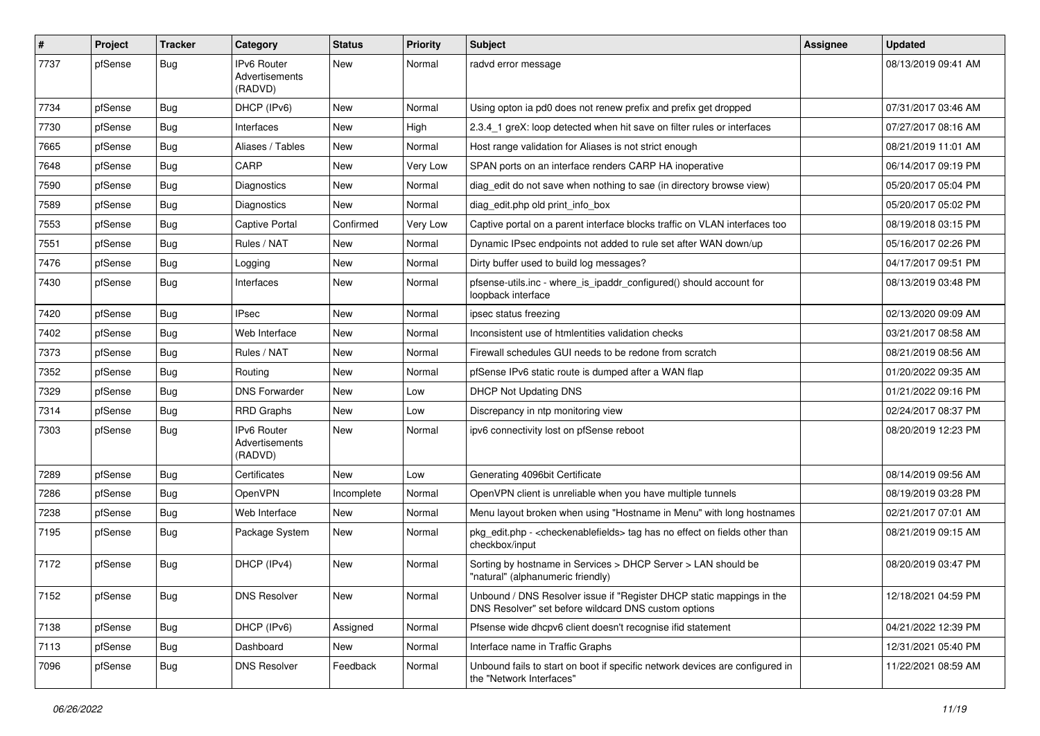| $\pmb{\sharp}$ | Project | <b>Tracker</b> | Category                                        | <b>Status</b> | <b>Priority</b> | Subject                                                                                                                       | Assignee | <b>Updated</b>      |
|----------------|---------|----------------|-------------------------------------------------|---------------|-----------------|-------------------------------------------------------------------------------------------------------------------------------|----------|---------------------|
| 7737           | pfSense | Bug            | <b>IPv6 Router</b><br>Advertisements<br>(RADVD) | <b>New</b>    | Normal          | radvd error message                                                                                                           |          | 08/13/2019 09:41 AM |
| 7734           | pfSense | <b>Bug</b>     | DHCP (IPv6)                                     | <b>New</b>    | Normal          | Using opton ia pd0 does not renew prefix and prefix get dropped                                                               |          | 07/31/2017 03:46 AM |
| 7730           | pfSense | <b>Bug</b>     | <b>Interfaces</b>                               | <b>New</b>    | High            | 2.3.4 1 greX: loop detected when hit save on filter rules or interfaces                                                       |          | 07/27/2017 08:16 AM |
| 7665           | pfSense | Bug            | Aliases / Tables                                | New           | Normal          | Host range validation for Aliases is not strict enough                                                                        |          | 08/21/2019 11:01 AM |
| 7648           | pfSense | Bug            | CARP                                            | New           | Very Low        | SPAN ports on an interface renders CARP HA inoperative                                                                        |          | 06/14/2017 09:19 PM |
| 7590           | pfSense | <b>Bug</b>     | Diagnostics                                     | New           | Normal          | diag_edit do not save when nothing to sae (in directory browse view)                                                          |          | 05/20/2017 05:04 PM |
| 7589           | pfSense | <b>Bug</b>     | <b>Diagnostics</b>                              | New           | Normal          | diag edit.php old print info box                                                                                              |          | 05/20/2017 05:02 PM |
| 7553           | pfSense | <b>Bug</b>     | Captive Portal                                  | Confirmed     | Very Low        | Captive portal on a parent interface blocks traffic on VLAN interfaces too                                                    |          | 08/19/2018 03:15 PM |
| 7551           | pfSense | Bug            | Rules / NAT                                     | New           | Normal          | Dynamic IPsec endpoints not added to rule set after WAN down/up                                                               |          | 05/16/2017 02:26 PM |
| 7476           | pfSense | <b>Bug</b>     | Logging                                         | New           | Normal          | Dirty buffer used to build log messages?                                                                                      |          | 04/17/2017 09:51 PM |
| 7430           | pfSense | Bug            | Interfaces                                      | <b>New</b>    | Normal          | pfsense-utils.inc - where_is_ipaddr_configured() should account for<br>loopback interface                                     |          | 08/13/2019 03:48 PM |
| 7420           | pfSense | <b>Bug</b>     | <b>IPsec</b>                                    | New           | Normal          | ipsec status freezing                                                                                                         |          | 02/13/2020 09:09 AM |
| 7402           | pfSense | <b>Bug</b>     | Web Interface                                   | New           | Normal          | Inconsistent use of htmlentities validation checks                                                                            |          | 03/21/2017 08:58 AM |
| 7373           | pfSense | Bug            | Rules / NAT                                     | New           | Normal          | Firewall schedules GUI needs to be redone from scratch                                                                        |          | 08/21/2019 08:56 AM |
| 7352           | pfSense | <b>Bug</b>     | Routing                                         | <b>New</b>    | Normal          | pfSense IPv6 static route is dumped after a WAN flap                                                                          |          | 01/20/2022 09:35 AM |
| 7329           | pfSense | Bug            | <b>DNS Forwarder</b>                            | New           | Low             | <b>DHCP Not Updating DNS</b>                                                                                                  |          | 01/21/2022 09:16 PM |
| 7314           | pfSense | Bug            | <b>RRD Graphs</b>                               | New           | Low             | Discrepancy in ntp monitoring view                                                                                            |          | 02/24/2017 08:37 PM |
| 7303           | pfSense | <b>Bug</b>     | <b>IPv6 Router</b><br>Advertisements<br>(RADVD) | <b>New</b>    | Normal          | ipv6 connectivity lost on pfSense reboot                                                                                      |          | 08/20/2019 12:23 PM |
| 7289           | pfSense | <b>Bug</b>     | Certificates                                    | <b>New</b>    | Low             | Generating 4096bit Certificate                                                                                                |          | 08/14/2019 09:56 AM |
| 7286           | pfSense | Bug            | OpenVPN                                         | Incomplete    | Normal          | OpenVPN client is unreliable when you have multiple tunnels                                                                   |          | 08/19/2019 03:28 PM |
| 7238           | pfSense | <b>Bug</b>     | Web Interface                                   | New           | Normal          | Menu layout broken when using "Hostname in Menu" with long hostnames                                                          |          | 02/21/2017 07:01 AM |
| 7195           | pfSense | Bug            | Package System                                  | New           | Normal          | pkg_edit.php - <checkenablefields> tag has no effect on fields other than<br/>checkbox/input</checkenablefields>              |          | 08/21/2019 09:15 AM |
| 7172           | pfSense | Bug            | DHCP (IPv4)                                     | New           | Normal          | Sorting by hostname in Services > DHCP Server > LAN should be<br>"natural" (alphanumeric friendly)                            |          | 08/20/2019 03:47 PM |
| 7152           | pfSense | <b>Bug</b>     | <b>DNS Resolver</b>                             | New           | Normal          | Unbound / DNS Resolver issue if "Register DHCP static mappings in the<br>DNS Resolver" set before wildcard DNS custom options |          | 12/18/2021 04:59 PM |
| 7138           | pfSense | <b>Bug</b>     | DHCP (IPv6)                                     | Assigned      | Normal          | Pfsense wide dhcpv6 client doesn't recognise ifid statement                                                                   |          | 04/21/2022 12:39 PM |
| 7113           | pfSense | Bug            | Dashboard                                       | New           | Normal          | Interface name in Traffic Graphs                                                                                              |          | 12/31/2021 05:40 PM |
| 7096           | pfSense | <b>Bug</b>     | <b>DNS Resolver</b>                             | Feedback      | Normal          | Unbound fails to start on boot if specific network devices are configured in<br>the "Network Interfaces"                      |          | 11/22/2021 08:59 AM |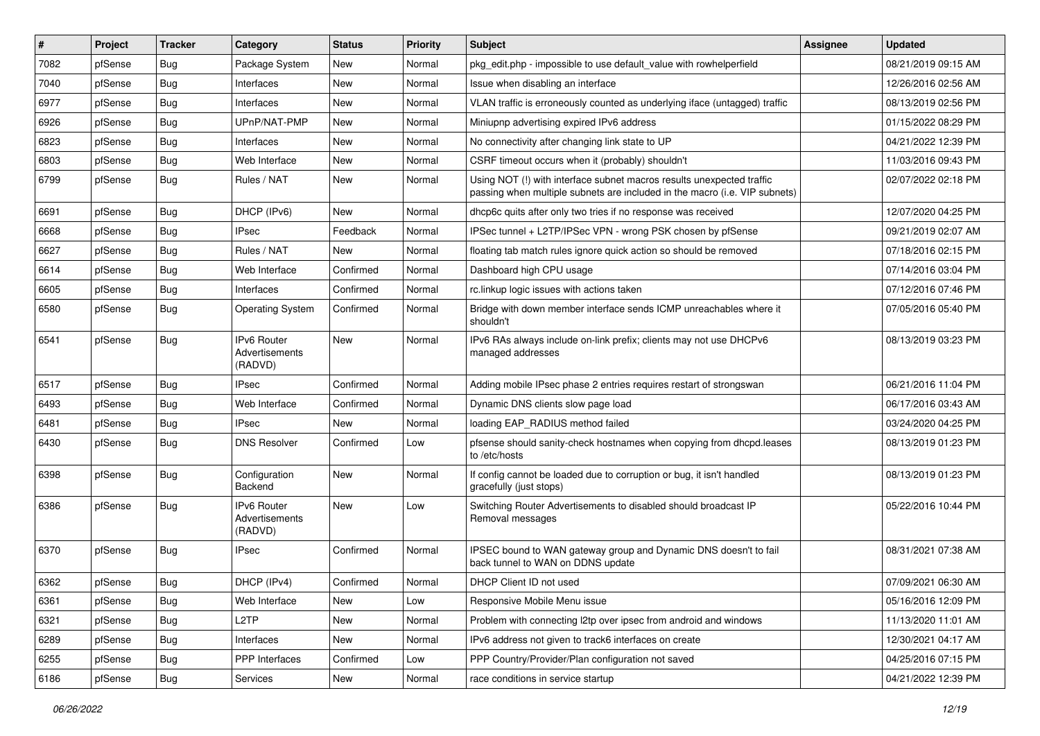| #    | Project | <b>Tracker</b> | Category                                               | <b>Status</b> | <b>Priority</b> | <b>Subject</b>                                                                                                                                      | Assignee | <b>Updated</b>      |
|------|---------|----------------|--------------------------------------------------------|---------------|-----------------|-----------------------------------------------------------------------------------------------------------------------------------------------------|----------|---------------------|
| 7082 | pfSense | <b>Bug</b>     | Package System                                         | <b>New</b>    | Normal          | pkg edit.php - impossible to use default value with rowhelperfield                                                                                  |          | 08/21/2019 09:15 AM |
| 7040 | pfSense | <b>Bug</b>     | Interfaces                                             | New           | Normal          | Issue when disabling an interface                                                                                                                   |          | 12/26/2016 02:56 AM |
| 6977 | pfSense | <b>Bug</b>     | Interfaces                                             | New           | Normal          | VLAN traffic is erroneously counted as underlying iface (untagged) traffic                                                                          |          | 08/13/2019 02:56 PM |
| 6926 | pfSense | Bug            | UPnP/NAT-PMP                                           | New           | Normal          | Miniupnp advertising expired IPv6 address                                                                                                           |          | 01/15/2022 08:29 PM |
| 6823 | pfSense | <b>Bug</b>     | Interfaces                                             | New           | Normal          | No connectivity after changing link state to UP                                                                                                     |          | 04/21/2022 12:39 PM |
| 6803 | pfSense | Bug            | Web Interface                                          | <b>New</b>    | Normal          | CSRF timeout occurs when it (probably) shouldn't                                                                                                    |          | 11/03/2016 09:43 PM |
| 6799 | pfSense | <b>Bug</b>     | Rules / NAT                                            | New           | Normal          | Using NOT (!) with interface subnet macros results unexpected traffic<br>passing when multiple subnets are included in the macro (i.e. VIP subnets) |          | 02/07/2022 02:18 PM |
| 6691 | pfSense | Bug            | DHCP (IPv6)                                            | New           | Normal          | dhcp6c quits after only two tries if no response was received                                                                                       |          | 12/07/2020 04:25 PM |
| 6668 | pfSense | <b>Bug</b>     | <b>IPsec</b>                                           | Feedback      | Normal          | IPSec tunnel + L2TP/IPSec VPN - wrong PSK chosen by pfSense                                                                                         |          | 09/21/2019 02:07 AM |
| 6627 | pfSense | Bug            | Rules / NAT                                            | New           | Normal          | floating tab match rules ignore quick action so should be removed                                                                                   |          | 07/18/2016 02:15 PM |
| 6614 | pfSense | Bug            | Web Interface                                          | Confirmed     | Normal          | Dashboard high CPU usage                                                                                                                            |          | 07/14/2016 03:04 PM |
| 6605 | pfSense | <b>Bug</b>     | Interfaces                                             | Confirmed     | Normal          | rc.linkup logic issues with actions taken                                                                                                           |          | 07/12/2016 07:46 PM |
| 6580 | pfSense | Bug            | <b>Operating System</b>                                | Confirmed     | Normal          | Bridge with down member interface sends ICMP unreachables where it<br>shouldn't                                                                     |          | 07/05/2016 05:40 PM |
| 6541 | pfSense | <b>Bug</b>     | <b>IPv6 Router</b><br>Advertisements<br>(RADVD)        | New           | Normal          | IPv6 RAs always include on-link prefix; clients may not use DHCPv6<br>managed addresses                                                             |          | 08/13/2019 03:23 PM |
| 6517 | pfSense | Bug            | <b>IPsec</b>                                           | Confirmed     | Normal          | Adding mobile IPsec phase 2 entries requires restart of strongswan                                                                                  |          | 06/21/2016 11:04 PM |
| 6493 | pfSense | <b>Bug</b>     | Web Interface                                          | Confirmed     | Normal          | Dynamic DNS clients slow page load                                                                                                                  |          | 06/17/2016 03:43 AM |
| 6481 | pfSense | <b>Bug</b>     | <b>IPsec</b>                                           | <b>New</b>    | Normal          | loading EAP_RADIUS method failed                                                                                                                    |          | 03/24/2020 04:25 PM |
| 6430 | pfSense | Bug            | <b>DNS Resolver</b>                                    | Confirmed     | Low             | pfsense should sanity-check hostnames when copying from dhcpd.leases<br>to /etc/hosts                                                               |          | 08/13/2019 01:23 PM |
| 6398 | pfSense | <b>Bug</b>     | Configuration<br>Backend                               | New           | Normal          | If config cannot be loaded due to corruption or bug, it isn't handled<br>gracefully (just stops)                                                    |          | 08/13/2019 01:23 PM |
| 6386 | pfSense | Bug            | <b>IPv6 Router</b><br><b>Advertisements</b><br>(RADVD) | New           | Low             | Switching Router Advertisements to disabled should broadcast IP<br>Removal messages                                                                 |          | 05/22/2016 10:44 PM |
| 6370 | pfSense | Bug            | <b>IPsec</b>                                           | Confirmed     | Normal          | IPSEC bound to WAN gateway group and Dynamic DNS doesn't to fail<br>back tunnel to WAN on DDNS update                                               |          | 08/31/2021 07:38 AM |
| 6362 | pfSense | Bug            | DHCP (IPv4)                                            | Confirmed     | Normal          | DHCP Client ID not used                                                                                                                             |          | 07/09/2021 06:30 AM |
| 6361 | pfSense | Bug            | Web Interface                                          | New           | Low             | Responsive Mobile Menu issue                                                                                                                        |          | 05/16/2016 12:09 PM |
| 6321 | pfSense | <b>Bug</b>     | L <sub>2</sub> TP                                      | New           | Normal          | Problem with connecting I2tp over ipsec from android and windows                                                                                    |          | 11/13/2020 11:01 AM |
| 6289 | pfSense | <b>Bug</b>     | Interfaces                                             | New           | Normal          | IPv6 address not given to track6 interfaces on create                                                                                               |          | 12/30/2021 04:17 AM |
| 6255 | pfSense | <b>Bug</b>     | PPP Interfaces                                         | Confirmed     | Low             | PPP Country/Provider/Plan configuration not saved                                                                                                   |          | 04/25/2016 07:15 PM |
| 6186 | pfSense | Bug            | Services                                               | New           | Normal          | race conditions in service startup                                                                                                                  |          | 04/21/2022 12:39 PM |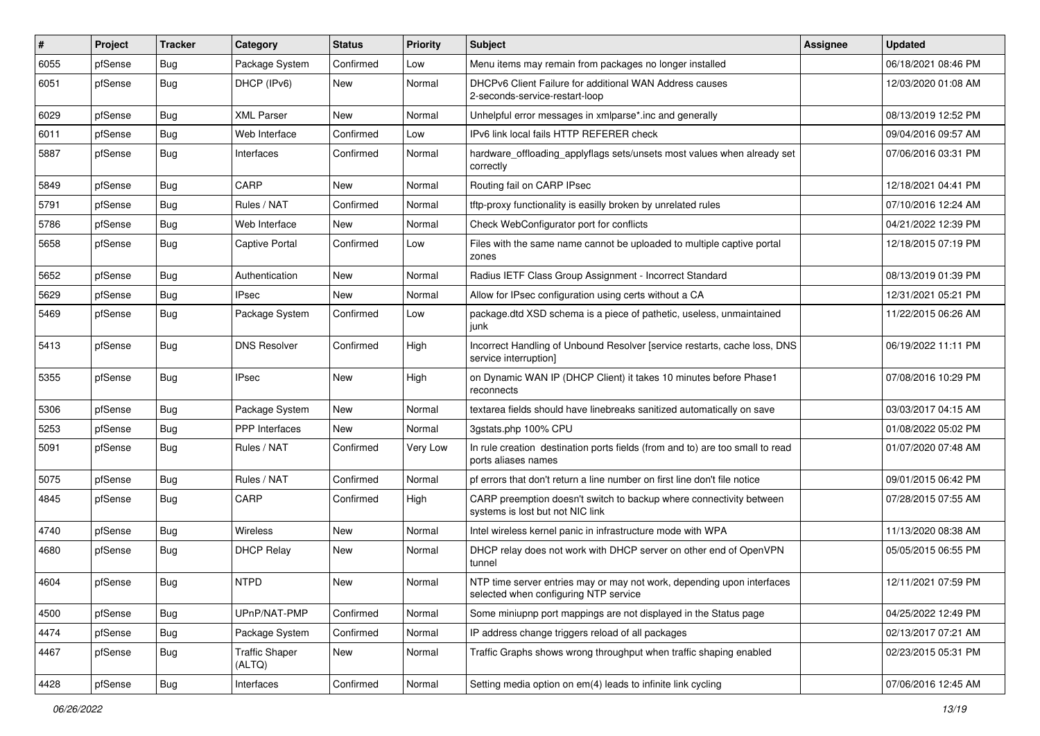| $\vert$ # | Project | <b>Tracker</b> | Category                        | <b>Status</b> | <b>Priority</b> | Subject                                                                                                         | Assignee | <b>Updated</b>      |
|-----------|---------|----------------|---------------------------------|---------------|-----------------|-----------------------------------------------------------------------------------------------------------------|----------|---------------------|
| 6055      | pfSense | <b>Bug</b>     | Package System                  | Confirmed     | Low             | Menu items may remain from packages no longer installed                                                         |          | 06/18/2021 08:46 PM |
| 6051      | pfSense | Bug            | DHCP (IPv6)                     | New           | Normal          | DHCPv6 Client Failure for additional WAN Address causes<br>2-seconds-service-restart-loop                       |          | 12/03/2020 01:08 AM |
| 6029      | pfSense | <b>Bug</b>     | <b>XML Parser</b>               | <b>New</b>    | Normal          | Unhelpful error messages in xmlparse*.inc and generally                                                         |          | 08/13/2019 12:52 PM |
| 6011      | pfSense | Bug            | Web Interface                   | Confirmed     | Low             | IPv6 link local fails HTTP REFERER check                                                                        |          | 09/04/2016 09:57 AM |
| 5887      | pfSense | Bug            | Interfaces                      | Confirmed     | Normal          | hardware_offloading_applyflags sets/unsets most values when already set<br>correctly                            |          | 07/06/2016 03:31 PM |
| 5849      | pfSense | Bug            | CARP                            | <b>New</b>    | Normal          | Routing fail on CARP IPsec                                                                                      |          | 12/18/2021 04:41 PM |
| 5791      | pfSense | <b>Bug</b>     | Rules / NAT                     | Confirmed     | Normal          | tftp-proxy functionality is easilly broken by unrelated rules                                                   |          | 07/10/2016 12:24 AM |
| 5786      | pfSense | Bug            | Web Interface                   | New           | Normal          | Check WebConfigurator port for conflicts                                                                        |          | 04/21/2022 12:39 PM |
| 5658      | pfSense | Bug            | Captive Portal                  | Confirmed     | Low             | Files with the same name cannot be uploaded to multiple captive portal<br>zones                                 |          | 12/18/2015 07:19 PM |
| 5652      | pfSense | <b>Bug</b>     | Authentication                  | New           | Normal          | Radius IETF Class Group Assignment - Incorrect Standard                                                         |          | 08/13/2019 01:39 PM |
| 5629      | pfSense | <b>Bug</b>     | IPsec                           | <b>New</b>    | Normal          | Allow for IPsec configuration using certs without a CA                                                          |          | 12/31/2021 05:21 PM |
| 5469      | pfSense | <b>Bug</b>     | Package System                  | Confirmed     | Low             | package.dtd XSD schema is a piece of pathetic, useless, unmaintained<br>junk                                    |          | 11/22/2015 06:26 AM |
| 5413      | pfSense | Bug            | <b>DNS Resolver</b>             | Confirmed     | High            | Incorrect Handling of Unbound Resolver [service restarts, cache loss, DNS<br>service interruption]              |          | 06/19/2022 11:11 PM |
| 5355      | pfSense | Bug            | <b>IPsec</b>                    | <b>New</b>    | High            | on Dynamic WAN IP (DHCP Client) it takes 10 minutes before Phase1<br>reconnects                                 |          | 07/08/2016 10:29 PM |
| 5306      | pfSense | Bug            | Package System                  | <b>New</b>    | Normal          | textarea fields should have linebreaks sanitized automatically on save                                          |          | 03/03/2017 04:15 AM |
| 5253      | pfSense | <b>Bug</b>     | <b>PPP</b> Interfaces           | New           | Normal          | 3gstats.php 100% CPU                                                                                            |          | 01/08/2022 05:02 PM |
| 5091      | pfSense | <b>Bug</b>     | Rules / NAT                     | Confirmed     | Very Low        | In rule creation destination ports fields (from and to) are too small to read<br>ports aliases names            |          | 01/07/2020 07:48 AM |
| 5075      | pfSense | Bug            | Rules / NAT                     | Confirmed     | Normal          | pf errors that don't return a line number on first line don't file notice                                       |          | 09/01/2015 06:42 PM |
| 4845      | pfSense | <b>Bug</b>     | CARP                            | Confirmed     | High            | CARP preemption doesn't switch to backup where connectivity between<br>systems is lost but not NIC link         |          | 07/28/2015 07:55 AM |
| 4740      | pfSense | Bug            | <b>Wireless</b>                 | New           | Normal          | Intel wireless kernel panic in infrastructure mode with WPA                                                     |          | 11/13/2020 08:38 AM |
| 4680      | pfSense | <b>Bug</b>     | <b>DHCP Relay</b>               | New           | Normal          | DHCP relay does not work with DHCP server on other end of OpenVPN<br>tunnel                                     |          | 05/05/2015 06:55 PM |
| 4604      | pfSense | Bug            | <b>NTPD</b>                     | New           | Normal          | NTP time server entries may or may not work, depending upon interfaces<br>selected when configuring NTP service |          | 12/11/2021 07:59 PM |
| 4500      | pfSense | Bug            | UPnP/NAT-PMP                    | Confirmed     | Normal          | Some miniupnp port mappings are not displayed in the Status page                                                |          | 04/25/2022 12:49 PM |
| 4474      | pfSense | <b>Bug</b>     | Package System                  | Confirmed     | Normal          | IP address change triggers reload of all packages                                                               |          | 02/13/2017 07:21 AM |
| 4467      | pfSense | <b>Bug</b>     | <b>Traffic Shaper</b><br>(ALTQ) | New           | Normal          | Traffic Graphs shows wrong throughput when traffic shaping enabled                                              |          | 02/23/2015 05:31 PM |
| 4428      | pfSense | Bug            | Interfaces                      | Confirmed     | Normal          | Setting media option on em(4) leads to infinite link cycling                                                    |          | 07/06/2016 12:45 AM |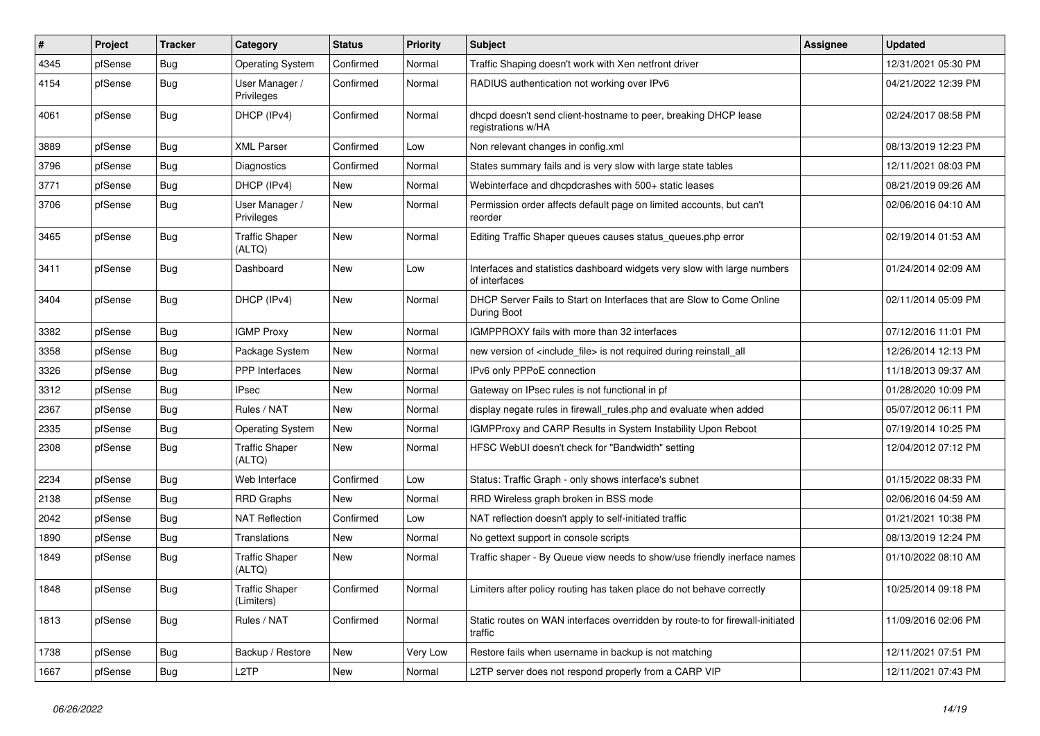| $\vert$ # | Project | <b>Tracker</b> | Category                            | <b>Status</b> | <b>Priority</b> | <b>Subject</b>                                                                            | Assignee | <b>Updated</b>      |
|-----------|---------|----------------|-------------------------------------|---------------|-----------------|-------------------------------------------------------------------------------------------|----------|---------------------|
| 4345      | pfSense | Bug            | <b>Operating System</b>             | Confirmed     | Normal          | Traffic Shaping doesn't work with Xen netfront driver                                     |          | 12/31/2021 05:30 PM |
| 4154      | pfSense | Bug            | User Manager /<br>Privileges        | Confirmed     | Normal          | RADIUS authentication not working over IPv6                                               |          | 04/21/2022 12:39 PM |
| 4061      | pfSense | Bug            | DHCP (IPv4)                         | Confirmed     | Normal          | dhcpd doesn't send client-hostname to peer, breaking DHCP lease<br>registrations w/HA     |          | 02/24/2017 08:58 PM |
| 3889      | pfSense | Bug            | <b>XML Parser</b>                   | Confirmed     | Low             | Non relevant changes in config.xml                                                        |          | 08/13/2019 12:23 PM |
| 3796      | pfSense | Bug            | Diagnostics                         | Confirmed     | Normal          | States summary fails and is very slow with large state tables                             |          | 12/11/2021 08:03 PM |
| 3771      | pfSense | Bug            | DHCP (IPv4)                         | New           | Normal          | Webinterface and dhcpdcrashes with 500+ static leases                                     |          | 08/21/2019 09:26 AM |
| 3706      | pfSense | <b>Bug</b>     | User Manager /<br>Privileges        | New           | Normal          | Permission order affects default page on limited accounts, but can't<br>reorder           |          | 02/06/2016 04:10 AM |
| 3465      | pfSense | Bug            | <b>Traffic Shaper</b><br>(ALTQ)     | New           | Normal          | Editing Traffic Shaper queues causes status_queues.php error                              |          | 02/19/2014 01:53 AM |
| 3411      | pfSense | Bug            | Dashboard                           | New           | Low             | Interfaces and statistics dashboard widgets very slow with large numbers<br>of interfaces |          | 01/24/2014 02:09 AM |
| 3404      | pfSense | Bug            | DHCP (IPv4)                         | New           | Normal          | DHCP Server Fails to Start on Interfaces that are Slow to Come Online<br>During Boot      |          | 02/11/2014 05:09 PM |
| 3382      | pfSense | Bug            | <b>IGMP Proxy</b>                   | <b>New</b>    | Normal          | IGMPPROXY fails with more than 32 interfaces                                              |          | 07/12/2016 11:01 PM |
| 3358      | pfSense | Bug            | Package System                      | New           | Normal          | new version of <include_file> is not required during reinstall_all</include_file>         |          | 12/26/2014 12:13 PM |
| 3326      | pfSense | Bug            | PPP Interfaces                      | New           | Normal          | IPv6 only PPPoE connection                                                                |          | 11/18/2013 09:37 AM |
| 3312      | pfSense | <b>Bug</b>     | <b>IPsec</b>                        | New           | Normal          | Gateway on IPsec rules is not functional in pf                                            |          | 01/28/2020 10:09 PM |
| 2367      | pfSense | Bug            | Rules / NAT                         | <b>New</b>    | Normal          | display negate rules in firewall_rules.php and evaluate when added                        |          | 05/07/2012 06:11 PM |
| 2335      | pfSense | Bug            | <b>Operating System</b>             | New           | Normal          | IGMPProxy and CARP Results in System Instability Upon Reboot                              |          | 07/19/2014 10:25 PM |
| 2308      | pfSense | Bug            | <b>Traffic Shaper</b><br>(ALTQ)     | New           | Normal          | HFSC WebUI doesn't check for "Bandwidth" setting                                          |          | 12/04/2012 07:12 PM |
| 2234      | pfSense | Bug            | Web Interface                       | Confirmed     | Low             | Status: Traffic Graph - only shows interface's subnet                                     |          | 01/15/2022 08:33 PM |
| 2138      | pfSense | Bug            | <b>RRD Graphs</b>                   | New           | Normal          | RRD Wireless graph broken in BSS mode                                                     |          | 02/06/2016 04:59 AM |
| 2042      | pfSense | Bug            | <b>NAT Reflection</b>               | Confirmed     | Low             | NAT reflection doesn't apply to self-initiated traffic                                    |          | 01/21/2021 10:38 PM |
| 1890      | pfSense | <b>Bug</b>     | Translations                        | New           | Normal          | No gettext support in console scripts                                                     |          | 08/13/2019 12:24 PM |
| 1849      | pfSense | <b>Bug</b>     | <b>Traffic Shaper</b><br>(ALTQ)     | New           | Normal          | Traffic shaper - By Queue view needs to show/use friendly inerface names                  |          | 01/10/2022 08:10 AM |
| 1848      | pfSense | <b>Bug</b>     | <b>Traffic Shaper</b><br>(Limiters) | Confirmed     | Normal          | Limiters after policy routing has taken place do not behave correctly                     |          | 10/25/2014 09:18 PM |
| 1813      | pfSense | Bug            | Rules / NAT                         | Confirmed     | Normal          | Static routes on WAN interfaces overridden by route-to for firewall-initiated<br>traffic  |          | 11/09/2016 02:06 PM |
| 1738      | pfSense | <b>Bug</b>     | Backup / Restore                    | New           | Very Low        | Restore fails when username in backup is not matching                                     |          | 12/11/2021 07:51 PM |
| 1667      | pfSense | Bug            | L2TP                                | New           | Normal          | L2TP server does not respond properly from a CARP VIP                                     |          | 12/11/2021 07:43 PM |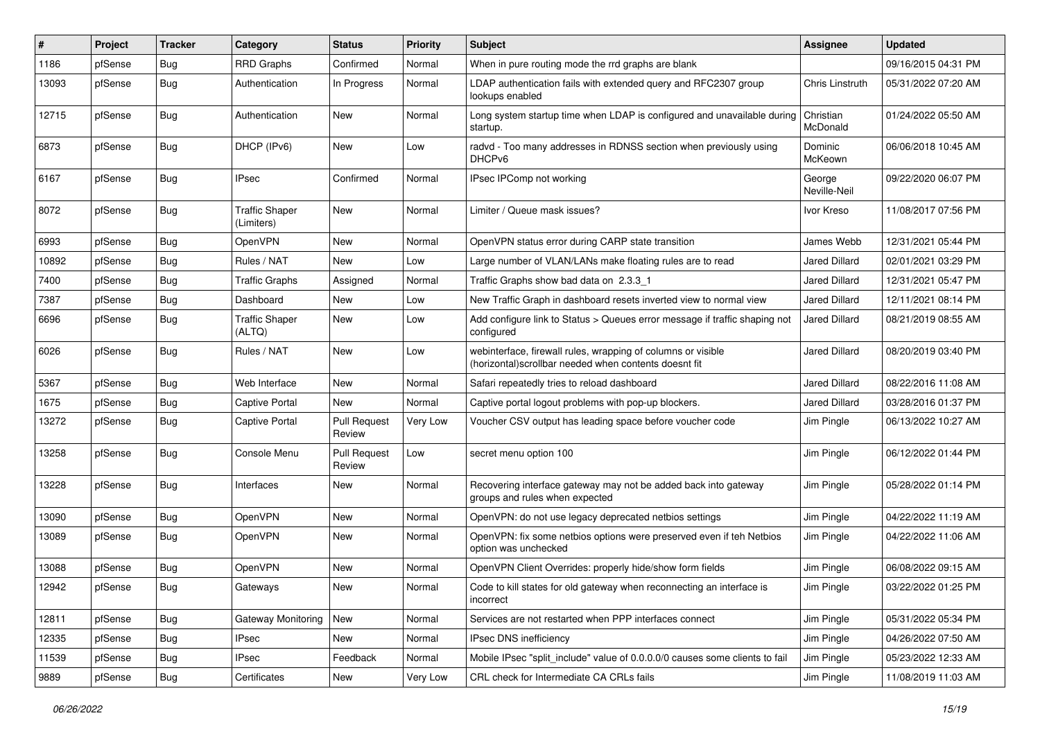| $\#$  | Project | <b>Tracker</b> | Category                            | <b>Status</b>                 | <b>Priority</b> | <b>Subject</b>                                                                                                         | Assignee               | <b>Updated</b>      |
|-------|---------|----------------|-------------------------------------|-------------------------------|-----------------|------------------------------------------------------------------------------------------------------------------------|------------------------|---------------------|
| 1186  | pfSense | <b>Bug</b>     | <b>RRD Graphs</b>                   | Confirmed                     | Normal          | When in pure routing mode the rrd graphs are blank                                                                     |                        | 09/16/2015 04:31 PM |
| 13093 | pfSense | <b>Bug</b>     | Authentication                      | In Progress                   | Normal          | LDAP authentication fails with extended query and RFC2307 group<br>lookups enabled                                     | Chris Linstruth        | 05/31/2022 07:20 AM |
| 12715 | pfSense | Bug            | Authentication                      | New                           | Normal          | Long system startup time when LDAP is configured and unavailable during<br>startup.                                    | Christian<br>McDonald  | 01/24/2022 05:50 AM |
| 6873  | pfSense | <b>Bug</b>     | DHCP (IPv6)                         | <b>New</b>                    | Low             | radvd - Too many addresses in RDNSS section when previously using<br>DHCPv6                                            | Dominic<br>McKeown     | 06/06/2018 10:45 AM |
| 6167  | pfSense | <b>Bug</b>     | IPsec                               | Confirmed                     | Normal          | IPsec IPComp not working                                                                                               | George<br>Neville-Neil | 09/22/2020 06:07 PM |
| 8072  | pfSense | <b>Bug</b>     | <b>Traffic Shaper</b><br>(Limiters) | New                           | Normal          | Limiter / Queue mask issues?                                                                                           | Ivor Kreso             | 11/08/2017 07:56 PM |
| 6993  | pfSense | Bug            | OpenVPN                             | New                           | Normal          | OpenVPN status error during CARP state transition                                                                      | James Webb             | 12/31/2021 05:44 PM |
| 10892 | pfSense | <b>Bug</b>     | Rules / NAT                         | <b>New</b>                    | Low             | Large number of VLAN/LANs make floating rules are to read                                                              | <b>Jared Dillard</b>   | 02/01/2021 03:29 PM |
| 7400  | pfSense | <b>Bug</b>     | <b>Traffic Graphs</b>               | Assigned                      | Normal          | Traffic Graphs show bad data on 2.3.3 1                                                                                | <b>Jared Dillard</b>   | 12/31/2021 05:47 PM |
| 7387  | pfSense | <b>Bug</b>     | Dashboard                           | New                           | Low             | New Traffic Graph in dashboard resets inverted view to normal view                                                     | <b>Jared Dillard</b>   | 12/11/2021 08:14 PM |
| 6696  | pfSense | <b>Bug</b>     | <b>Traffic Shaper</b><br>(ALTQ)     | New                           | Low             | Add configure link to Status > Queues error message if traffic shaping not<br>configured                               | <b>Jared Dillard</b>   | 08/21/2019 08:55 AM |
| 6026  | pfSense | <b>Bug</b>     | Rules / NAT                         | New                           | Low             | webinterface, firewall rules, wrapping of columns or visible<br>(horizontal) scrollbar needed when contents doesnt fit | <b>Jared Dillard</b>   | 08/20/2019 03:40 PM |
| 5367  | pfSense | <b>Bug</b>     | Web Interface                       | New                           | Normal          | Safari repeatedly tries to reload dashboard                                                                            | <b>Jared Dillard</b>   | 08/22/2016 11:08 AM |
| 1675  | pfSense | <b>Bug</b>     | Captive Portal                      | New                           | Normal          | Captive portal logout problems with pop-up blockers.                                                                   | <b>Jared Dillard</b>   | 03/28/2016 01:37 PM |
| 13272 | pfSense | Bug            | Captive Portal                      | <b>Pull Request</b><br>Review | Very Low        | Voucher CSV output has leading space before voucher code                                                               | Jim Pingle             | 06/13/2022 10:27 AM |
| 13258 | pfSense | <b>Bug</b>     | Console Menu                        | <b>Pull Request</b><br>Review | Low             | secret menu option 100                                                                                                 | Jim Pingle             | 06/12/2022 01:44 PM |
| 13228 | pfSense | <b>Bug</b>     | Interfaces                          | New                           | Normal          | Recovering interface gateway may not be added back into gateway<br>groups and rules when expected                      | Jim Pingle             | 05/28/2022 01:14 PM |
| 13090 | pfSense | <b>Bug</b>     | OpenVPN                             | New                           | Normal          | OpenVPN: do not use legacy deprecated netbios settings                                                                 | Jim Pingle             | 04/22/2022 11:19 AM |
| 13089 | pfSense | <b>Bug</b>     | OpenVPN                             | New                           | Normal          | OpenVPN: fix some netbios options were preserved even if teh Netbios<br>option was unchecked                           | Jim Pingle             | 04/22/2022 11:06 AM |
| 13088 | pfSense | <b>Bug</b>     | OpenVPN                             | New                           | Normal          | OpenVPN Client Overrides: properly hide/show form fields                                                               | Jim Pingle             | 06/08/2022 09:15 AM |
| 12942 | pfSense | Bug            | Gateways                            | New                           | Normal          | Code to kill states for old gateway when reconnecting an interface is<br>incorrect                                     | Jim Pingle             | 03/22/2022 01:25 PM |
| 12811 | pfSense | Bug            | Gateway Monitoring                  | New                           | Normal          | Services are not restarted when PPP interfaces connect                                                                 | Jim Pingle             | 05/31/2022 05:34 PM |
| 12335 | pfSense | Bug            | <b>IPsec</b>                        | New                           | Normal          | IPsec DNS inefficiency                                                                                                 | Jim Pingle             | 04/26/2022 07:50 AM |
| 11539 | pfSense | <b>Bug</b>     | <b>IPsec</b>                        | Feedback                      | Normal          | Mobile IPsec "split_include" value of 0.0.0.0/0 causes some clients to fail                                            | Jim Pingle             | 05/23/2022 12:33 AM |
| 9889  | pfSense | <b>Bug</b>     | Certificates                        | New                           | Very Low        | CRL check for Intermediate CA CRLs fails                                                                               | Jim Pingle             | 11/08/2019 11:03 AM |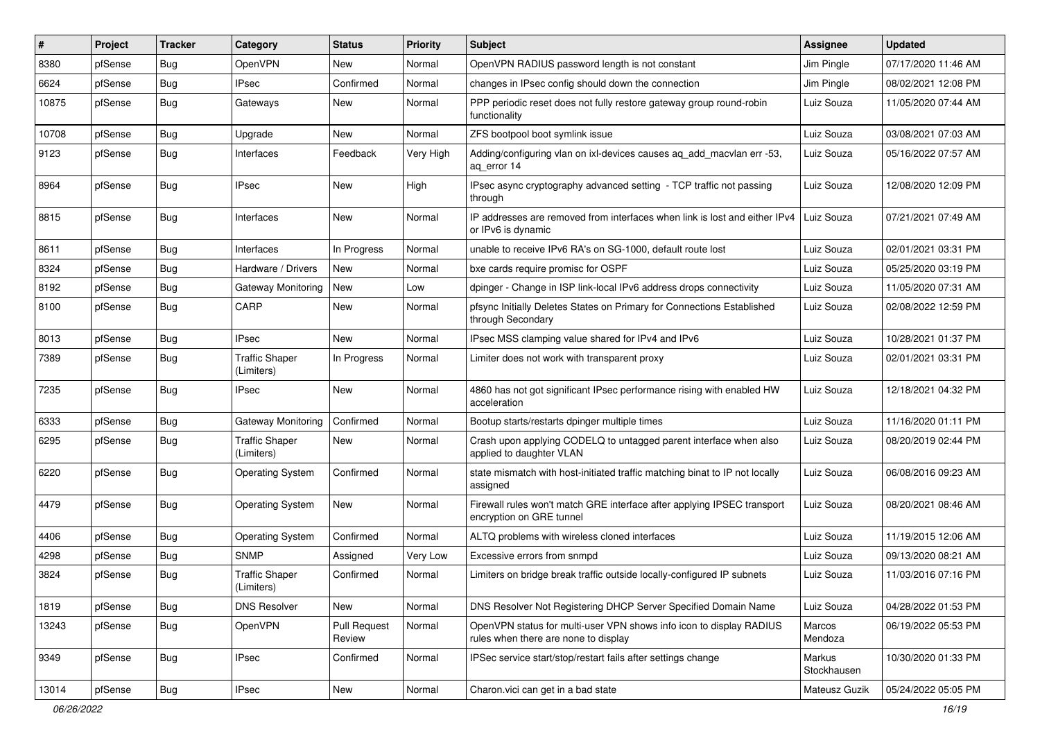| #     | Project | <b>Tracker</b> | Category                            | <b>Status</b>                 | <b>Priority</b> | Subject                                                                                                     | <b>Assignee</b>       | <b>Updated</b>      |
|-------|---------|----------------|-------------------------------------|-------------------------------|-----------------|-------------------------------------------------------------------------------------------------------------|-----------------------|---------------------|
| 8380  | pfSense | <b>Bug</b>     | OpenVPN                             | New                           | Normal          | OpenVPN RADIUS password length is not constant                                                              | Jim Pingle            | 07/17/2020 11:46 AM |
| 6624  | pfSense | Bug            | <b>IPsec</b>                        | Confirmed                     | Normal          | changes in IPsec config should down the connection                                                          | Jim Pingle            | 08/02/2021 12:08 PM |
| 10875 | pfSense | <b>Bug</b>     | Gateways                            | New                           | Normal          | PPP periodic reset does not fully restore gateway group round-robin<br>functionality                        | Luiz Souza            | 11/05/2020 07:44 AM |
| 10708 | pfSense | Bug            | Upgrade                             | New                           | Normal          | ZFS bootpool boot symlink issue                                                                             | Luiz Souza            | 03/08/2021 07:03 AM |
| 9123  | pfSense | <b>Bug</b>     | Interfaces                          | Feedback                      | Very High       | Adding/configuring vlan on ixl-devices causes ag add macvlan err -53,<br>ag error 14                        | Luiz Souza            | 05/16/2022 07:57 AM |
| 8964  | pfSense | Bug            | <b>IPsec</b>                        | <b>New</b>                    | High            | IPsec async cryptography advanced setting - TCP traffic not passing<br>through                              | Luiz Souza            | 12/08/2020 12:09 PM |
| 8815  | pfSense | <b>Bug</b>     | Interfaces                          | New                           | Normal          | IP addresses are removed from interfaces when link is lost and either IPv4<br>or IPv6 is dynamic            | Luiz Souza            | 07/21/2021 07:49 AM |
| 8611  | pfSense | Bug            | Interfaces                          | In Progress                   | Normal          | unable to receive IPv6 RA's on SG-1000, default route lost                                                  | Luiz Souza            | 02/01/2021 03:31 PM |
| 8324  | pfSense | <b>Bug</b>     | Hardware / Drivers                  | <b>New</b>                    | Normal          | bxe cards require promisc for OSPF                                                                          | Luiz Souza            | 05/25/2020 03:19 PM |
| 8192  | pfSense | <b>Bug</b>     | Gateway Monitoring                  | New                           | Low             | dpinger - Change in ISP link-local IPv6 address drops connectivity                                          | Luiz Souza            | 11/05/2020 07:31 AM |
| 8100  | pfSense | Bug            | CARP                                | New                           | Normal          | pfsync Initially Deletes States on Primary for Connections Established<br>through Secondary                 | Luiz Souza            | 02/08/2022 12:59 PM |
| 8013  | pfSense | Bug            | <b>IPsec</b>                        | New                           | Normal          | IPsec MSS clamping value shared for IPv4 and IPv6                                                           | Luiz Souza            | 10/28/2021 01:37 PM |
| 7389  | pfSense | Bug            | <b>Traffic Shaper</b><br>(Limiters) | In Progress                   | Normal          | Limiter does not work with transparent proxy                                                                | Luiz Souza            | 02/01/2021 03:31 PM |
| 7235  | pfSense | Bug            | IPsec                               | <b>New</b>                    | Normal          | 4860 has not got significant IPsec performance rising with enabled HW<br>acceleration                       | Luiz Souza            | 12/18/2021 04:32 PM |
| 6333  | pfSense | <b>Bug</b>     | Gateway Monitoring                  | Confirmed                     | Normal          | Bootup starts/restarts dpinger multiple times                                                               | Luiz Souza            | 11/16/2020 01:11 PM |
| 6295  | pfSense | <b>Bug</b>     | <b>Traffic Shaper</b><br>(Limiters) | New                           | Normal          | Crash upon applying CODELQ to untagged parent interface when also<br>applied to daughter VLAN               | Luiz Souza            | 08/20/2019 02:44 PM |
| 6220  | pfSense | <b>Bug</b>     | <b>Operating System</b>             | Confirmed                     | Normal          | state mismatch with host-initiated traffic matching binat to IP not locally<br>assigned                     | Luiz Souza            | 06/08/2016 09:23 AM |
| 4479  | pfSense | <b>Bug</b>     | Operating System                    | <b>New</b>                    | Normal          | Firewall rules won't match GRE interface after applying IPSEC transport<br>encryption on GRE tunnel         | Luiz Souza            | 08/20/2021 08:46 AM |
| 4406  | pfSense | <b>Bug</b>     | <b>Operating System</b>             | Confirmed                     | Normal          | ALTQ problems with wireless cloned interfaces                                                               | Luiz Souza            | 11/19/2015 12:06 AM |
| 4298  | pfSense | <b>Bug</b>     | <b>SNMP</b>                         | Assigned                      | Very Low        | Excessive errors from snmpd                                                                                 | Luiz Souza            | 09/13/2020 08:21 AM |
| 3824  | pfSense | <b>Bug</b>     | <b>Traffic Shaper</b><br>(Limiters) | Confirmed                     | Normal          | Limiters on bridge break traffic outside locally-configured IP subnets                                      | Luiz Souza            | 11/03/2016 07:16 PM |
| 1819  | pfSense | Bug            | <b>DNS Resolver</b>                 | New                           | Normal          | DNS Resolver Not Registering DHCP Server Specified Domain Name                                              | Luiz Souza            | 04/28/2022 01:53 PM |
| 13243 | pfSense | <b>Bug</b>     | <b>OpenVPN</b>                      | <b>Pull Request</b><br>Review | Normal          | OpenVPN status for multi-user VPN shows info icon to display RADIUS<br>rules when there are none to display | Marcos<br>Mendoza     | 06/19/2022 05:53 PM |
| 9349  | pfSense | <b>Bug</b>     | IPsec                               | Confirmed                     | Normal          | IPSec service start/stop/restart fails after settings change                                                | Markus<br>Stockhausen | 10/30/2020 01:33 PM |
| 13014 | pfSense | Bug            | <b>IPsec</b>                        | New                           | Normal          | Charon.vici can get in a bad state                                                                          | Mateusz Guzik         | 05/24/2022 05:05 PM |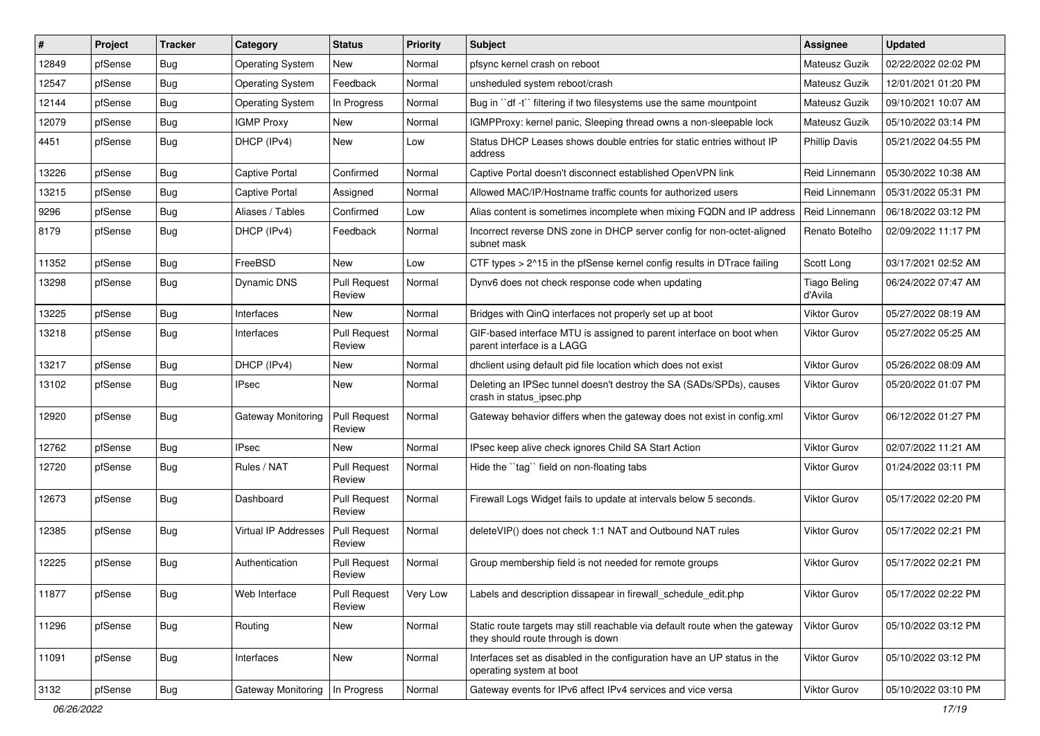| #     | Project | <b>Tracker</b> | Category                    | <b>Status</b>                 | <b>Priority</b> | Subject                                                                                                          | <b>Assignee</b>         | <b>Updated</b>      |
|-------|---------|----------------|-----------------------------|-------------------------------|-----------------|------------------------------------------------------------------------------------------------------------------|-------------------------|---------------------|
| 12849 | pfSense | <b>Bug</b>     | <b>Operating System</b>     | <b>New</b>                    | Normal          | pfsync kernel crash on reboot                                                                                    | Mateusz Guzik           | 02/22/2022 02:02 PM |
| 12547 | pfSense | <b>Bug</b>     | <b>Operating System</b>     | Feedback                      | Normal          | unsheduled system reboot/crash                                                                                   | Mateusz Guzik           | 12/01/2021 01:20 PM |
| 12144 | pfSense | <b>Bug</b>     | <b>Operating System</b>     | In Progress                   | Normal          | Bug in "df -t" filtering if two filesystems use the same mountpoint                                              | Mateusz Guzik           | 09/10/2021 10:07 AM |
| 12079 | pfSense | <b>Bug</b>     | <b>IGMP Proxy</b>           | New                           | Normal          | IGMPProxy: kernel panic, Sleeping thread owns a non-sleepable lock                                               | Mateusz Guzik           | 05/10/2022 03:14 PM |
| 4451  | pfSense | Bug            | DHCP (IPv4)                 | New                           | Low             | Status DHCP Leases shows double entries for static entries without IP<br>address                                 | <b>Phillip Davis</b>    | 05/21/2022 04:55 PM |
| 13226 | pfSense | <b>Bug</b>     | Captive Portal              | Confirmed                     | Normal          | Captive Portal doesn't disconnect established OpenVPN link                                                       | Reid Linnemann          | 05/30/2022 10:38 AM |
| 13215 | pfSense | <b>Bug</b>     | Captive Portal              | Assigned                      | Normal          | Allowed MAC/IP/Hostname traffic counts for authorized users                                                      | Reid Linnemann          | 05/31/2022 05:31 PM |
| 9296  | pfSense | <b>Bug</b>     | Aliases / Tables            | Confirmed                     | Low             | Alias content is sometimes incomplete when mixing FQDN and IP address                                            | Reid Linnemann          | 06/18/2022 03:12 PM |
| 8179  | pfSense | <b>Bug</b>     | DHCP (IPv4)                 | Feedback                      | Normal          | Incorrect reverse DNS zone in DHCP server config for non-octet-aligned<br>subnet mask                            | Renato Botelho          | 02/09/2022 11:17 PM |
| 11352 | pfSense | <b>Bug</b>     | FreeBSD                     | <b>New</b>                    | Low             | CTF types > 2^15 in the pfSense kernel config results in DTrace failing                                          | Scott Long              | 03/17/2021 02:52 AM |
| 13298 | pfSense | <b>Bug</b>     | <b>Dynamic DNS</b>          | <b>Pull Request</b><br>Review | Normal          | Dynv6 does not check response code when updating                                                                 | Tiago Beling<br>d'Avila | 06/24/2022 07:47 AM |
| 13225 | pfSense | <b>Bug</b>     | Interfaces                  | <b>New</b>                    | Normal          | Bridges with QinQ interfaces not properly set up at boot                                                         | Viktor Gurov            | 05/27/2022 08:19 AM |
| 13218 | pfSense | <b>Bug</b>     | Interfaces                  | <b>Pull Request</b><br>Review | Normal          | GIF-based interface MTU is assigned to parent interface on boot when<br>parent interface is a LAGG               | Viktor Gurov            | 05/27/2022 05:25 AM |
| 13217 | pfSense | <b>Bug</b>     | DHCP (IPv4)                 | New                           | Normal          | dholient using default pid file location which does not exist                                                    | Viktor Gurov            | 05/26/2022 08:09 AM |
| 13102 | pfSense | <b>Bug</b>     | <b>IPsec</b>                | <b>New</b>                    | Normal          | Deleting an IPSec tunnel doesn't destroy the SA (SADs/SPDs), causes<br>crash in status_ipsec.php                 | <b>Viktor Gurov</b>     | 05/20/2022 01:07 PM |
| 12920 | pfSense | <b>Bug</b>     | Gateway Monitoring          | <b>Pull Request</b><br>Review | Normal          | Gateway behavior differs when the gateway does not exist in config.xml                                           | <b>Viktor Gurov</b>     | 06/12/2022 01:27 PM |
| 12762 | pfSense | <b>Bug</b>     | <b>IPsec</b>                | <b>New</b>                    | Normal          | IPsec keep alive check ignores Child SA Start Action                                                             | <b>Viktor Gurov</b>     | 02/07/2022 11:21 AM |
| 12720 | pfSense | <b>Bug</b>     | Rules / NAT                 | <b>Pull Request</b><br>Review | Normal          | Hide the "tag" field on non-floating tabs                                                                        | <b>Viktor Gurov</b>     | 01/24/2022 03:11 PM |
| 12673 | pfSense | <b>Bug</b>     | Dashboard                   | <b>Pull Request</b><br>Review | Normal          | Firewall Logs Widget fails to update at intervals below 5 seconds.                                               | Viktor Gurov            | 05/17/2022 02:20 PM |
| 12385 | pfSense | <b>Bug</b>     | <b>Virtual IP Addresses</b> | <b>Pull Request</b><br>Review | Normal          | deleteVIP() does not check 1:1 NAT and Outbound NAT rules                                                        | <b>Viktor Gurov</b>     | 05/17/2022 02:21 PM |
| 12225 | pfSense | <b>Bug</b>     | Authentication              | <b>Pull Request</b><br>Review | Normal          | Group membership field is not needed for remote groups                                                           | <b>Viktor Gurov</b>     | 05/17/2022 02:21 PM |
| 11877 | pfSense | <b>Bug</b>     | Web Interface               | <b>Pull Request</b><br>Review | Very Low        | Labels and description dissapear in firewall_schedule_edit.php                                                   | Viktor Gurov            | 05/17/2022 02:22 PM |
| 11296 | pfSense | <b>Bug</b>     | Routing                     | New                           | Normal          | Static route targets may still reachable via default route when the gateway<br>they should route through is down | Viktor Gurov            | 05/10/2022 03:12 PM |
| 11091 | pfSense | <b>Bug</b>     | Interfaces                  | New                           | Normal          | Interfaces set as disabled in the configuration have an UP status in the<br>operating system at boot             | Viktor Gurov            | 05/10/2022 03:12 PM |
| 3132  | pfSense | <b>Bug</b>     | Gateway Monitoring          | In Progress                   | Normal          | Gateway events for IPv6 affect IPv4 services and vice versa                                                      | Viktor Gurov            | 05/10/2022 03:10 PM |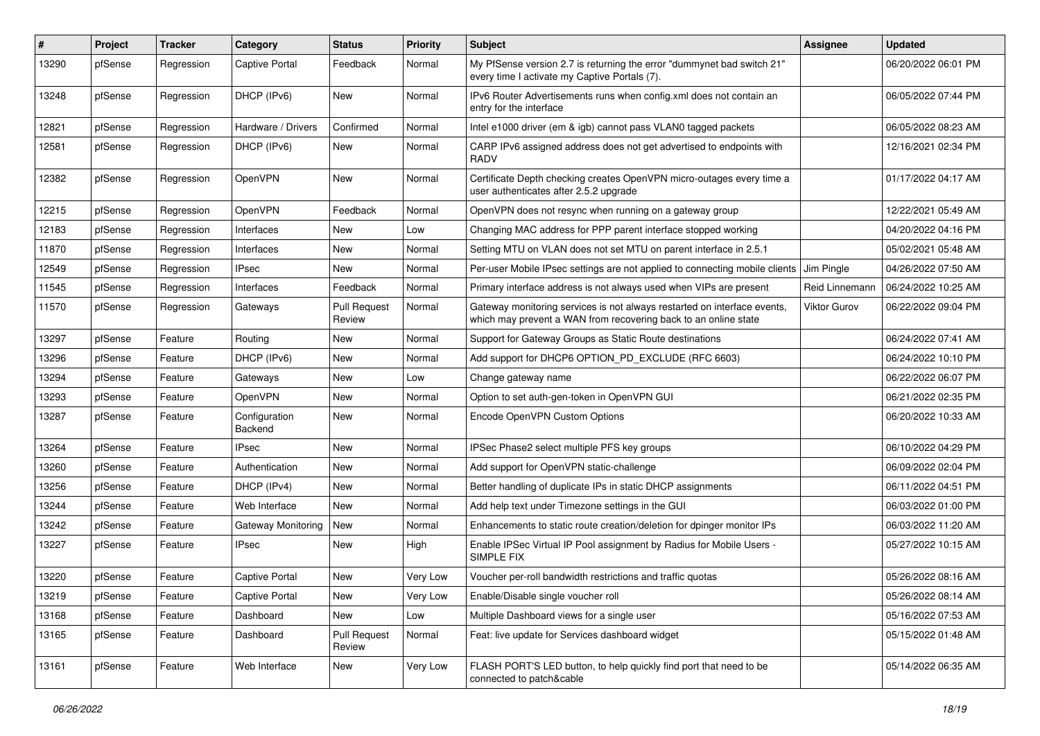| #     | Project | <b>Tracker</b> | Category                 | <b>Status</b>                 | <b>Priority</b> | Subject                                                                                                                                     | <b>Assignee</b> | <b>Updated</b>      |
|-------|---------|----------------|--------------------------|-------------------------------|-----------------|---------------------------------------------------------------------------------------------------------------------------------------------|-----------------|---------------------|
| 13290 | pfSense | Regression     | Captive Portal           | Feedback                      | Normal          | My PfSense version 2.7 is returning the error "dummynet bad switch 21"<br>every time I activate my Captive Portals (7).                     |                 | 06/20/2022 06:01 PM |
| 13248 | pfSense | Regression     | DHCP (IPv6)              | New                           | Normal          | IPv6 Router Advertisements runs when config.xml does not contain an<br>entry for the interface                                              |                 | 06/05/2022 07:44 PM |
| 12821 | pfSense | Regression     | Hardware / Drivers       | Confirmed                     | Normal          | Intel e1000 driver (em & igb) cannot pass VLAN0 tagged packets                                                                              |                 | 06/05/2022 08:23 AM |
| 12581 | pfSense | Regression     | DHCP (IPv6)              | New                           | Normal          | CARP IPv6 assigned address does not get advertised to endpoints with<br>RADV                                                                |                 | 12/16/2021 02:34 PM |
| 12382 | pfSense | Regression     | OpenVPN                  | <b>New</b>                    | Normal          | Certificate Depth checking creates OpenVPN micro-outages every time a<br>user authenticates after 2.5.2 upgrade                             |                 | 01/17/2022 04:17 AM |
| 12215 | pfSense | Regression     | OpenVPN                  | Feedback                      | Normal          | OpenVPN does not resync when running on a gateway group                                                                                     |                 | 12/22/2021 05:49 AM |
| 12183 | pfSense | Regression     | Interfaces               | <b>New</b>                    | Low             | Changing MAC address for PPP parent interface stopped working                                                                               |                 | 04/20/2022 04:16 PM |
| 11870 | pfSense | Regression     | Interfaces               | New                           | Normal          | Setting MTU on VLAN does not set MTU on parent interface in 2.5.1                                                                           |                 | 05/02/2021 05:48 AM |
| 12549 | pfSense | Regression     | <b>IPsec</b>             | <b>New</b>                    | Normal          | Per-user Mobile IPsec settings are not applied to connecting mobile clients Jim Pingle                                                      |                 | 04/26/2022 07:50 AM |
| 11545 | pfSense | Regression     | <b>Interfaces</b>        | Feedback                      | Normal          | Primary interface address is not always used when VIPs are present                                                                          | Reid Linnemann  | 06/24/2022 10:25 AM |
| 11570 | pfSense | Regression     | Gateways                 | <b>Pull Request</b><br>Review | Normal          | Gateway monitoring services is not always restarted on interface events,<br>which may prevent a WAN from recovering back to an online state | Viktor Gurov    | 06/22/2022 09:04 PM |
| 13297 | pfSense | Feature        | Routing                  | New                           | Normal          | Support for Gateway Groups as Static Route destinations                                                                                     |                 | 06/24/2022 07:41 AM |
| 13296 | pfSense | Feature        | DHCP (IPv6)              | New                           | Normal          | Add support for DHCP6 OPTION_PD_EXCLUDE (RFC 6603)                                                                                          |                 | 06/24/2022 10:10 PM |
| 13294 | pfSense | Feature        | Gateways                 | New                           | Low             | Change gateway name                                                                                                                         |                 | 06/22/2022 06:07 PM |
| 13293 | pfSense | Feature        | OpenVPN                  | New                           | Normal          | Option to set auth-gen-token in OpenVPN GUI                                                                                                 |                 | 06/21/2022 02:35 PM |
| 13287 | pfSense | Feature        | Configuration<br>Backend | New                           | Normal          | Encode OpenVPN Custom Options                                                                                                               |                 | 06/20/2022 10:33 AM |
| 13264 | pfSense | Feature        | <b>IPsec</b>             | <b>New</b>                    | Normal          | IPSec Phase2 select multiple PFS key groups                                                                                                 |                 | 06/10/2022 04:29 PM |
| 13260 | pfSense | Feature        | Authentication           | <b>New</b>                    | Normal          | Add support for OpenVPN static-challenge                                                                                                    |                 | 06/09/2022 02:04 PM |
| 13256 | pfSense | Feature        | DHCP (IPv4)              | New                           | Normal          | Better handling of duplicate IPs in static DHCP assignments                                                                                 |                 | 06/11/2022 04:51 PM |
| 13244 | pfSense | Feature        | Web Interface            | <b>New</b>                    | Normal          | Add help text under Timezone settings in the GUI                                                                                            |                 | 06/03/2022 01:00 PM |
| 13242 | pfSense | Feature        | Gateway Monitoring       | New                           | Normal          | Enhancements to static route creation/deletion for dpinger monitor IPs                                                                      |                 | 06/03/2022 11:20 AM |
| 13227 | pfSense | Feature        | <b>IPsec</b>             | New                           | High            | Enable IPSec Virtual IP Pool assignment by Radius for Mobile Users -<br>SIMPLE FIX                                                          |                 | 05/27/2022 10:15 AM |
| 13220 | pfSense | Feature        | Captive Portal           | <b>New</b>                    | Very Low        | Voucher per-roll bandwidth restrictions and traffic quotas                                                                                  |                 | 05/26/2022 08:16 AM |
| 13219 | pfSense | Feature        | Captive Portal           | New                           | Very Low        | Enable/Disable single voucher roll                                                                                                          |                 | 05/26/2022 08:14 AM |
| 13168 | pfSense | Feature        | Dashboard                | New                           | Low             | Multiple Dashboard views for a single user                                                                                                  |                 | 05/16/2022 07:53 AM |
| 13165 | pfSense | Feature        | Dashboard                | <b>Pull Request</b><br>Review | Normal          | Feat: live update for Services dashboard widget                                                                                             |                 | 05/15/2022 01:48 AM |
| 13161 | pfSense | Feature        | Web Interface            | New                           | Very Low        | FLASH PORT'S LED button, to help quickly find port that need to be<br>connected to patch&cable                                              |                 | 05/14/2022 06:35 AM |